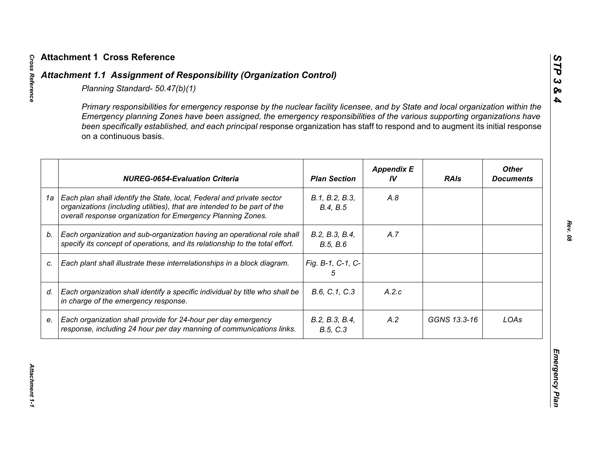|    | Primary responsibilities for emergency response by the nuclear facility licensee, and by State and local organization within the<br>Emergency planning Zones have been assigned, the emergency responsibilities of the various supporting organizations have<br>been specifically established, and each principal response organization has staff to respond and to augment its initial response<br>on a continuous basis. |                            |                         |              |                                  |
|----|----------------------------------------------------------------------------------------------------------------------------------------------------------------------------------------------------------------------------------------------------------------------------------------------------------------------------------------------------------------------------------------------------------------------------|----------------------------|-------------------------|--------------|----------------------------------|
|    | <b>NUREG-0654-Evaluation Criteria</b>                                                                                                                                                                                                                                                                                                                                                                                      | <b>Plan Section</b>        | <b>Appendix E</b><br>IV | <b>RAIs</b>  | <b>Other</b><br><b>Documents</b> |
| 1a | Each plan shall identify the State, local, Federal and private sector<br>organizations (including utilities), that are intended to be part of the<br>overall response organization for Emergency Planning Zones.                                                                                                                                                                                                           | B.1, B.2, B.3,<br>B.4, B.5 | A.8                     |              |                                  |
| b. | Each organization and sub-organization having an operational role shall<br>specify its concept of operations, and its relationship to the total effort.                                                                                                                                                                                                                                                                    | B.2, B.3, B.4,<br>B.5, B.6 | A.7                     |              |                                  |
| C. | Each plant shall illustrate these interrelationships in a block diagram.                                                                                                                                                                                                                                                                                                                                                   | Fig. B-1, C-1, C-<br>5     |                         |              |                                  |
| d. | Each organization shall identify a specific individual by title who shall be<br>in charge of the emergency response.                                                                                                                                                                                                                                                                                                       | B.6, C.1, C.3              | A.2.c                   |              |                                  |
| е. | Each organization shall provide for 24-hour per day emergency<br>response, including 24 hour per day manning of communications links.                                                                                                                                                                                                                                                                                      | B.2, B.3, B.4,<br>B.5, C.3 | A.2                     | GGNS 13.3-16 | LOAs                             |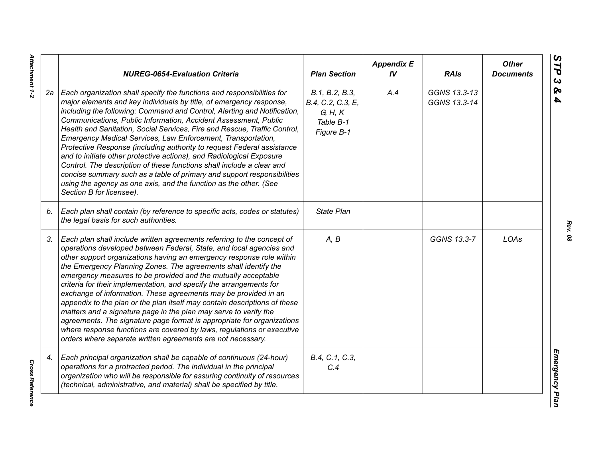|    | <b>NUREG-0654-Evaluation Criteria</b>                                                                                                                                                                                                                                                                                                                                                                                                                                                                                                                                                                                                                                                                                                                                                                                                                                   | <b>Plan Section</b>                                                       | <b>Appendix E</b><br>IV | <b>RAIs</b>                  | <b>Other</b><br><b>Documents</b> |
|----|-------------------------------------------------------------------------------------------------------------------------------------------------------------------------------------------------------------------------------------------------------------------------------------------------------------------------------------------------------------------------------------------------------------------------------------------------------------------------------------------------------------------------------------------------------------------------------------------------------------------------------------------------------------------------------------------------------------------------------------------------------------------------------------------------------------------------------------------------------------------------|---------------------------------------------------------------------------|-------------------------|------------------------------|----------------------------------|
| 2а | Each organization shall specify the functions and responsibilities for<br>major elements and key individuals by title, of emergency response,<br>including the following: Command and Control, Alerting and Notification,<br>Communications, Public Information, Accident Assessment, Public<br>Health and Sanitation, Social Services, Fire and Rescue, Traffic Control,<br>Emergency Medical Services, Law Enforcement, Transportation,<br>Protective Response (including authority to request Federal assistance<br>and to initiate other protective actions), and Radiological Exposure<br>Control. The description of these functions shall include a clear and<br>concise summary such as a table of primary and support responsibilities<br>using the agency as one axis, and the function as the other. (See<br>Section B for licensee).                        | B.1, B.2, B.3,<br>B.4, C.2, C.3, E,<br>G, H, K<br>Table B-1<br>Figure B-1 | A.4                     | GGNS 13.3-13<br>GGNS 13.3-14 |                                  |
| b. | Each plan shall contain (by reference to specific acts, codes or statutes)<br>the legal basis for such authorities.                                                                                                                                                                                                                                                                                                                                                                                                                                                                                                                                                                                                                                                                                                                                                     | <b>State Plan</b>                                                         |                         |                              |                                  |
| 3. | Each plan shall include written agreements referring to the concept of<br>operations developed between Federal, State, and local agencies and<br>other support organizations having an emergency response role within<br>the Emergency Planning Zones. The agreements shall identify the<br>emergency measures to be provided and the mutually acceptable<br>criteria for their implementation, and specify the arrangements for<br>exchange of information. These agreements may be provided in an<br>appendix to the plan or the plan itself may contain descriptions of these<br>matters and a signature page in the plan may serve to verify the<br>agreements. The signature page format is appropriate for organizations<br>where response functions are covered by laws, regulations or executive<br>orders where separate written agreements are not necessary. | A, B                                                                      |                         | GGNS 13.3-7                  | LOAs                             |
| 4. | Each principal organization shall be capable of continuous (24-hour)<br>operations for a protracted period. The individual in the principal<br>organization who will be responsible for assuring continuity of resources<br>(technical, administrative, and material) shall be specified by title.                                                                                                                                                                                                                                                                                                                                                                                                                                                                                                                                                                      | B.4, C.1, C.3,<br>C.4                                                     |                         |                              |                                  |

*Rev. 08*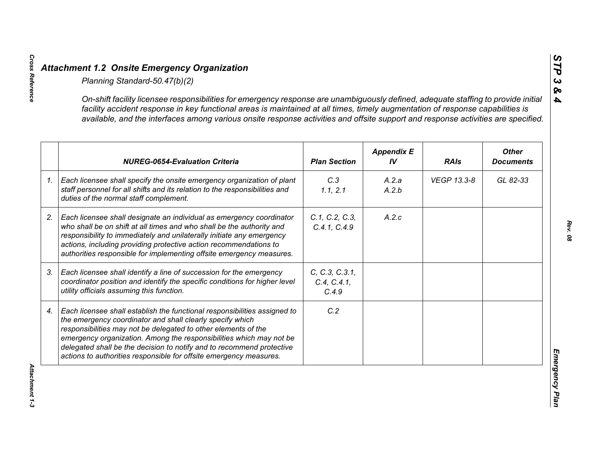|    | On-shift facility licensee responsibilities for emergency response are unambiguously defined, adequate staffing to provide initial<br>facility accident response in key functional areas is maintained at all times, timely augmentation of response capabilities is<br>available, and the interfaces among various onsite response activities and offsite support and response activities are specified.                      |                                        |                         |             |                                  |
|----|--------------------------------------------------------------------------------------------------------------------------------------------------------------------------------------------------------------------------------------------------------------------------------------------------------------------------------------------------------------------------------------------------------------------------------|----------------------------------------|-------------------------|-------------|----------------------------------|
|    | <b>NUREG-0654-Evaluation Criteria</b>                                                                                                                                                                                                                                                                                                                                                                                          | <b>Plan Section</b>                    | <b>Appendix E</b><br>IV | <b>RAIs</b> | <b>Other</b><br><b>Documents</b> |
| 1. | Each licensee shall specify the onsite emergency organization of plant<br>staff personnel for all shifts and its relation to the responsibilities and<br>duties of the normal staff complement.                                                                                                                                                                                                                                | C.3<br>1.1, 2.1                        | A.2.a<br>A.2.b          | VEGP 13.3-8 | GL 82-33                         |
|    | Each licensee shall designate an individual as emergency coordinator<br>who shall be on shift at all times and who shall be the authority and<br>responsibility to immediately and unilaterally initiate any emergency<br>actions, including providing protective action recommendations to<br>authorities responsible for implementing offsite emergency measures.                                                            | C.1, C.2, C.3,<br>C.4.1, C.4.9         | A.2.c                   |             |                                  |
|    | Each licensee shall identify a line of succession for the emergency<br>coordinator position and identify the specific conditions for higher level<br>utility officials assuming this function.                                                                                                                                                                                                                                 | C, C.3, C.3.1,<br>C.4, C.4.1,<br>C.4.9 |                         |             |                                  |
|    | Each licensee shall establish the functional responsibilities assigned to<br>the emergency coordinator and shall clearly specify which<br>responsibilities may not be delegated to other elements of the<br>emergency organization. Among the responsibilities which may not be<br>delegated shall be the decision to notify and to recommend protective<br>actions to authorities responsible for offsite emergency measures. | C.2                                    |                         |             |                                  |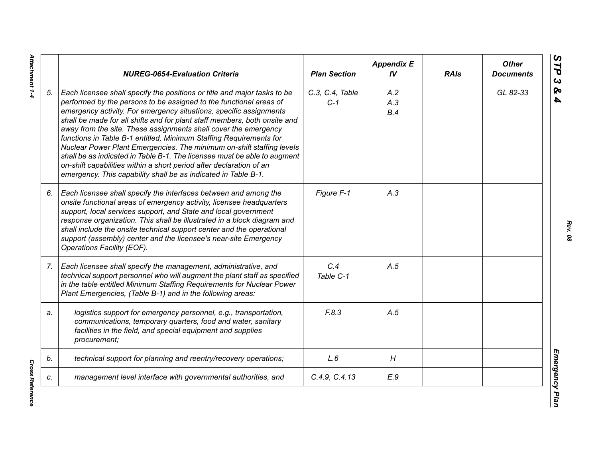|    | <b>NUREG-0654-Evaluation Criteria</b>                                                                                                                                                                                                                                                                                                                                                                                                                                                                                                                                                                                                                                                                                                    | <b>Plan Section</b>      | <b>Appendix E</b><br>IV | <b>RAIs</b> | <b>Other</b><br><b>Documents</b> |
|----|------------------------------------------------------------------------------------------------------------------------------------------------------------------------------------------------------------------------------------------------------------------------------------------------------------------------------------------------------------------------------------------------------------------------------------------------------------------------------------------------------------------------------------------------------------------------------------------------------------------------------------------------------------------------------------------------------------------------------------------|--------------------------|-------------------------|-------------|----------------------------------|
| 5. | Each licensee shall specify the positions or title and major tasks to be<br>performed by the persons to be assigned to the functional areas of<br>emergency activity. For emergency situations, specific assignments<br>shall be made for all shifts and for plant staff members, both onsite and<br>away from the site. These assignments shall cover the emergency<br>functions in Table B-1 entitled, Minimum Staffing Requirements for<br>Nuclear Power Plant Emergencies. The minimum on-shift staffing levels<br>shall be as indicated in Table B-1. The licensee must be able to augment<br>on-shift capabilities within a short period after declaration of an<br>emergency. This capability shall be as indicated in Table B-1. | C.3, C.4, Table<br>$C-1$ | A.2<br>A.3<br>B.4       |             | GL 82-33                         |
| 6. | Each licensee shall specify the interfaces between and among the<br>onsite functional areas of emergency activity, licensee headquarters<br>support, local services support, and State and local government<br>response organization. This shall be illustrated in a block diagram and<br>shall include the onsite technical support center and the operational<br>support (assembly) center and the licensee's near-site Emergency<br>Operations Facility (EOF).                                                                                                                                                                                                                                                                        | Figure F-1               | A.3                     |             |                                  |
| 7. | Each licensee shall specify the management, administrative, and<br>technical support personnel who will augment the plant staff as specified<br>in the table entitled Minimum Staffing Requirements for Nuclear Power<br>Plant Emergencies, (Table B-1) and in the following areas:                                                                                                                                                                                                                                                                                                                                                                                                                                                      | C.4<br>Table C-1         | A.5                     |             |                                  |
| a. | logistics support for emergency personnel, e.g., transportation,<br>communications, temporary quarters, food and water, sanitary<br>facilities in the field, and special equipment and supplies<br>procurement;                                                                                                                                                                                                                                                                                                                                                                                                                                                                                                                          | F.8.3                    | A.5                     |             |                                  |
| b. | technical support for planning and reentry/recovery operations;                                                                                                                                                                                                                                                                                                                                                                                                                                                                                                                                                                                                                                                                          | L.6                      | H                       |             |                                  |
| c. | management level interface with governmental authorities, and                                                                                                                                                                                                                                                                                                                                                                                                                                                                                                                                                                                                                                                                            | C.4.9, C.4.13            | E.9                     |             |                                  |

Attachment 1-4 *Attachment 1-4*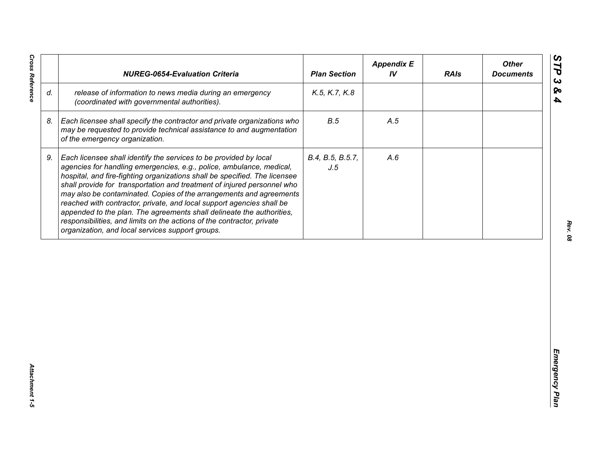| release of information to news media during an emergency<br>K.5, K.7, K.8<br>(coordinated with governmental authorities).<br>B.5<br>Each licensee shall specify the contractor and private organizations who<br>A.5<br>may be requested to provide technical assistance to and augmentation<br>of the emergency organization.<br>Each licensee shall identify the services to be provided by local<br>B.4, B.5, B.5.7,<br>A.6<br>agencies for handling emergencies, e.g., police, ambulance, medical,<br>J.5<br>hospital, and fire-fighting organizations shall be specified. The licensee<br>shall provide for transportation and treatment of injured personnel who<br>may also be contaminated. Copies of the arrangements and agreements<br>reached with contractor, private, and local support agencies shall be | appended to the plan. The agreements shall delineate the authorities,<br>responsibilities, and limits on the actions of the contractor, private<br>organization, and local services support groups. |    | <b>NUREG-0654-Evaluation Criteria</b> | <b>Plan Section</b> | <b>Appendix E</b><br>IV | <b>RAIs</b> | <b>Other</b><br><b>Documents</b> |
|-----------------------------------------------------------------------------------------------------------------------------------------------------------------------------------------------------------------------------------------------------------------------------------------------------------------------------------------------------------------------------------------------------------------------------------------------------------------------------------------------------------------------------------------------------------------------------------------------------------------------------------------------------------------------------------------------------------------------------------------------------------------------------------------------------------------------|-----------------------------------------------------------------------------------------------------------------------------------------------------------------------------------------------------|----|---------------------------------------|---------------------|-------------------------|-------------|----------------------------------|
|                                                                                                                                                                                                                                                                                                                                                                                                                                                                                                                                                                                                                                                                                                                                                                                                                       |                                                                                                                                                                                                     | d. |                                       |                     |                         |             |                                  |
|                                                                                                                                                                                                                                                                                                                                                                                                                                                                                                                                                                                                                                                                                                                                                                                                                       |                                                                                                                                                                                                     | 8. |                                       |                     |                         |             |                                  |
|                                                                                                                                                                                                                                                                                                                                                                                                                                                                                                                                                                                                                                                                                                                                                                                                                       |                                                                                                                                                                                                     | 9. |                                       |                     |                         |             |                                  |
|                                                                                                                                                                                                                                                                                                                                                                                                                                                                                                                                                                                                                                                                                                                                                                                                                       |                                                                                                                                                                                                     |    |                                       |                     |                         |             |                                  |
|                                                                                                                                                                                                                                                                                                                                                                                                                                                                                                                                                                                                                                                                                                                                                                                                                       |                                                                                                                                                                                                     |    |                                       |                     |                         |             |                                  |
|                                                                                                                                                                                                                                                                                                                                                                                                                                                                                                                                                                                                                                                                                                                                                                                                                       |                                                                                                                                                                                                     |    |                                       |                     |                         |             |                                  |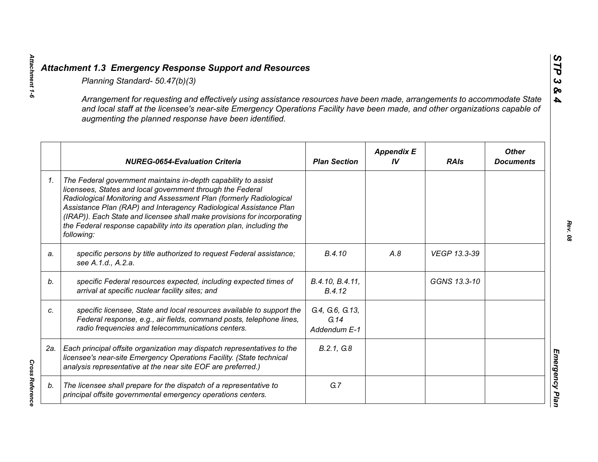|    | Planning Standard- 50.47(b)(3)                                                                                                                                                                                                                                                                                                                                                                                                               |                                         |                         |              |                                  |
|----|----------------------------------------------------------------------------------------------------------------------------------------------------------------------------------------------------------------------------------------------------------------------------------------------------------------------------------------------------------------------------------------------------------------------------------------------|-----------------------------------------|-------------------------|--------------|----------------------------------|
|    | Arrangement for requesting and effectively using assistance resources have been made, arrangements to accommodate State<br>and local staff at the licensee's near-site Emergency Operations Facility have been made, and other organizations capable of<br>augmenting the planned response have been identified.                                                                                                                             |                                         |                         |              |                                  |
|    | <b>NUREG-0654-Evaluation Criteria</b>                                                                                                                                                                                                                                                                                                                                                                                                        | <b>Plan Section</b>                     | <b>Appendix E</b><br>IV | <b>RAIs</b>  | <b>Other</b><br><b>Documents</b> |
| 1. | The Federal government maintains in-depth capability to assist<br>licensees, States and local government through the Federal<br>Radiological Monitoring and Assessment Plan (formerly Radiological<br>Assistance Plan (RAP) and Interagency Radiological Assistance Plan<br>(IRAP)). Each State and licensee shall make provisions for incorporating<br>the Federal response capability into its operation plan, including the<br>following: |                                         |                         |              |                                  |
| a. | specific persons by title authorized to request Federal assistance;<br>see A.1.d., A.2.a.                                                                                                                                                                                                                                                                                                                                                    | B.4.10                                  | A.8                     | VEGP 13.3-39 |                                  |
| b. | specific Federal resources expected, including expected times of<br>arrival at specific nuclear facility sites; and                                                                                                                                                                                                                                                                                                                          | B.4.10, B.4.11,<br>B.4.12               |                         | GGNS 13.3-10 |                                  |
| C. | specific licensee, State and local resources available to support the<br>Federal response, e.g., air fields, command posts, telephone lines,<br>radio frequencies and telecommunications centers.                                                                                                                                                                                                                                            | G.4, G.6, G.13,<br>G.14<br>Addendum E-1 |                         |              |                                  |
|    | 2a.   Each principal offsite organization may dispatch representatives to the<br>licensee's near-site Emergency Operations Facility. (State technical<br>analysis representative at the near site EOF are preferred.)                                                                                                                                                                                                                        | B.2.1, G.8                              |                         |              |                                  |
| b. | The licensee shall prepare for the dispatch of a representative to<br>principal offsite governmental emergency operations centers.                                                                                                                                                                                                                                                                                                           | G.7                                     |                         |              |                                  |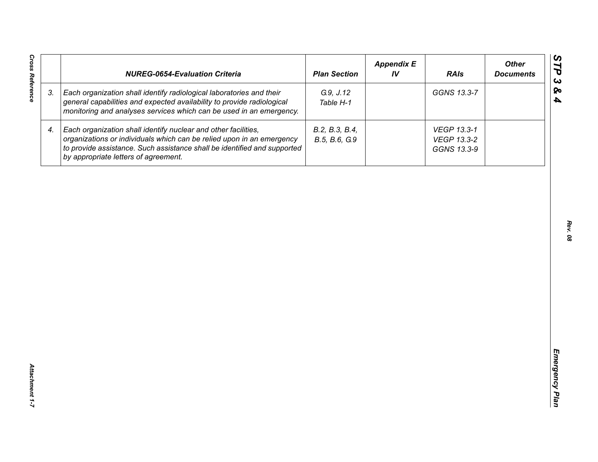| <b>Cross Reference</b> | <b>NUREG-0654-Evaluation Criteria</b>                                                                                                                                                                                                                       | <b>Plan Section</b>             | <b>Appendix E</b><br>IV | <b>RAIs</b>                               | <b>Other</b><br><b>Documents</b> |
|------------------------|-------------------------------------------------------------------------------------------------------------------------------------------------------------------------------------------------------------------------------------------------------------|---------------------------------|-------------------------|-------------------------------------------|----------------------------------|
| 3.                     | Each organization shall identify radiological laboratories and their<br>general capabilities and expected availability to provide radiological<br>monitoring and analyses services which can be used in an emergency.                                       | G.9, J.12<br>Table H-1          |                         | GGNS 13.3-7                               |                                  |
| 4.                     | Each organization shall identify nuclear and other facilities,<br>organizations or individuals which can be relied upon in an emergency<br>to provide assistance. Such assistance shall be identified and supported<br>by appropriate letters of agreement. | B.2, B.3, B.4,<br>B.5, B.6, G.9 |                         | VEGP 13.3-1<br>VEGP 13.3-2<br>GGNS 13.3-9 |                                  |
|                        |                                                                                                                                                                                                                                                             |                                 |                         |                                           |                                  |
|                        |                                                                                                                                                                                                                                                             |                                 |                         |                                           |                                  |
|                        |                                                                                                                                                                                                                                                             |                                 |                         |                                           |                                  |
|                        |                                                                                                                                                                                                                                                             |                                 |                         |                                           |                                  |
|                        |                                                                                                                                                                                                                                                             |                                 |                         |                                           |                                  |
|                        |                                                                                                                                                                                                                                                             |                                 |                         |                                           |                                  |
| Attachment 1-7         |                                                                                                                                                                                                                                                             |                                 |                         |                                           |                                  |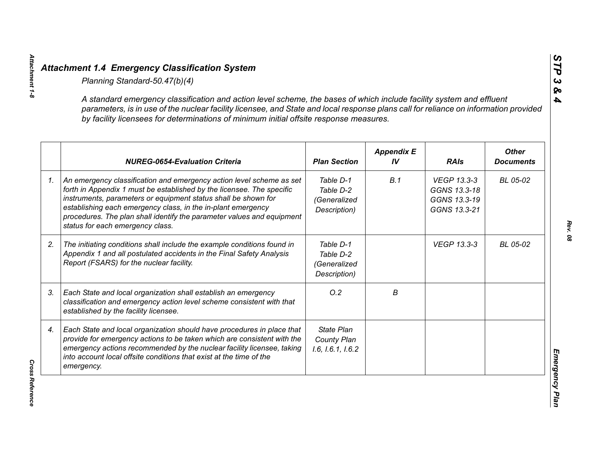| A standard emergency classification and action level scheme, the bases of which include facility system and effluent<br>parameters, is in use of the nuclear facility licensee, and State and local response plans call for reliance on information provided<br>by facility licensees for determinations of minimum initial offsite response measures.                                        |                                                        |                         |                                                             |                                  |
|-----------------------------------------------------------------------------------------------------------------------------------------------------------------------------------------------------------------------------------------------------------------------------------------------------------------------------------------------------------------------------------------------|--------------------------------------------------------|-------------------------|-------------------------------------------------------------|----------------------------------|
| <b>NUREG-0654-Evaluation Criteria</b>                                                                                                                                                                                                                                                                                                                                                         | <b>Plan Section</b>                                    | <b>Appendix E</b><br>IV | <b>RAIs</b>                                                 | <b>Other</b><br><b>Documents</b> |
| An emergency classification and emergency action level scheme as set<br>forth in Appendix 1 must be established by the licensee. The specific<br>instruments, parameters or equipment status shall be shown for<br>establishing each emergency class, in the in-plant emergency<br>procedures. The plan shall identify the parameter values and equipment<br>status for each emergency class. | Table D-1<br>Table D-2<br>(Generalized<br>Description) | B.1                     | VEGP 13.3-3<br>GGNS 13.3-18<br>GGNS 13.3-19<br>GGNS 13.3-21 | BL 05-02                         |
| The initiating conditions shall include the example conditions found in<br>Appendix 1 and all postulated accidents in the Final Safety Analysis<br>Report (FSARS) for the nuclear facility.                                                                                                                                                                                                   | Table D-1<br>Table D-2<br>(Generalized<br>Description) |                         | <b>VEGP 13.3-3</b>                                          | BL 05-02                         |
| Each State and local organization shall establish an emergency<br>classification and emergency action level scheme consistent with that<br>established by the facility licensee.                                                                                                                                                                                                              | O.2                                                    | В                       |                                                             |                                  |
| Each State and local organization should have procedures in place that<br>provide for emergency actions to be taken which are consistent with the<br>emergency actions recommended by the nuclear facility licensee, taking<br>into account local offsite conditions that exist at the time of the<br>emergency.                                                                              | <b>State Plan</b><br>County Plan<br>1.6, 1.6.1, 1.6.2  |                         |                                                             |                                  |

**Cross Reference** *Cross Reference* 

*Attachment 1-8*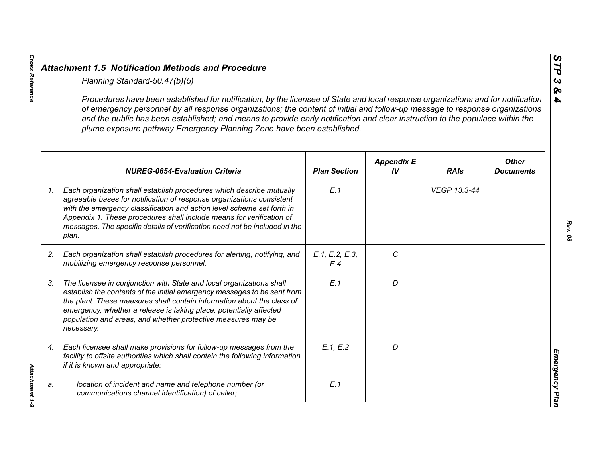|                 | Planning Standard-50.47(b)(5)                                                                                                                                                                                                                                                                                                                                                                                                                                               |                       |                         |              |                                  |
|-----------------|-----------------------------------------------------------------------------------------------------------------------------------------------------------------------------------------------------------------------------------------------------------------------------------------------------------------------------------------------------------------------------------------------------------------------------------------------------------------------------|-----------------------|-------------------------|--------------|----------------------------------|
|                 | Procedures have been established for notification, by the licensee of State and local response organizations and for notification<br>of emergency personnel by all response organizations; the content of initial and follow-up message to response organizations<br>and the public has been established; and means to provide early notification and clear instruction to the populace within the<br>plume exposure pathway Emergency Planning Zone have been established. |                       |                         |              |                                  |
|                 | <b>NUREG-0654-Evaluation Criteria</b>                                                                                                                                                                                                                                                                                                                                                                                                                                       | <b>Plan Section</b>   | <b>Appendix E</b><br>IV | <b>RAIs</b>  | <b>Other</b><br><b>Documents</b> |
| $\mathcal{I}$ . | Each organization shall establish procedures which describe mutually<br>agreeable bases for notification of response organizations consistent<br>with the emergency classification and action level scheme set forth in<br>Appendix 1. These procedures shall include means for verification of<br>messages. The specific details of verification need not be included in the<br>plan.                                                                                      | E.1                   |                         | VEGP 13.3-44 |                                  |
| 2.              | Each organization shall establish procedures for alerting, notifying, and<br>mobilizing emergency response personnel.                                                                                                                                                                                                                                                                                                                                                       | E.1, E.2, E.3,<br>E.4 | C                       |              |                                  |
| 3.              | The licensee in conjunction with State and local organizations shall<br>establish the contents of the initial emergency messages to be sent from<br>the plant. These measures shall contain information about the class of<br>emergency, whether a release is taking place, potentially affected<br>population and areas, and whether protective measures may be<br>necessary.                                                                                              | E.1                   | D                       |              |                                  |
| 4.              | Each licensee shall make provisions for follow-up messages from the<br>facility to offsite authorities which shall contain the following information<br>if it is known and appropriate:                                                                                                                                                                                                                                                                                     | E.1, E.2              | D                       |              |                                  |
| a.              | location of incident and name and telephone number (or<br>communications channel identification) of caller;                                                                                                                                                                                                                                                                                                                                                                 | E.1                   |                         |              |                                  |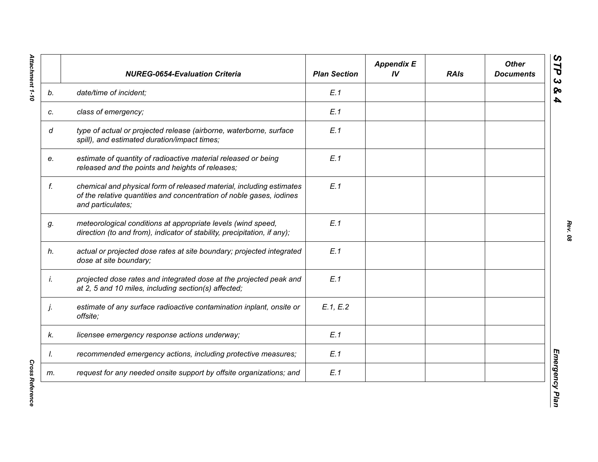|    | <b>NUREG-0654-Evaluation Criteria</b>                                                                                                                             | <b>Plan Section</b> | <b>Appendix E</b><br>IV | <b>RAIs</b> | <b>Other</b><br><b>Documents</b> |
|----|-------------------------------------------------------------------------------------------------------------------------------------------------------------------|---------------------|-------------------------|-------------|----------------------------------|
| b. | date/time of incident;                                                                                                                                            | E.1                 |                         |             |                                  |
| c. | class of emergency;                                                                                                                                               | E.1                 |                         |             |                                  |
| d  | type of actual or projected release (airborne, waterborne, surface<br>spill), and estimated duration/impact times;                                                | E.1                 |                         |             |                                  |
| e. | estimate of quantity of radioactive material released or being<br>released and the points and heights of releases;                                                | E.1                 |                         |             |                                  |
| f. | chemical and physical form of released material, including estimates<br>of the relative quantities and concentration of noble gases, iodines<br>and particulates; | E.1                 |                         |             |                                  |
| g. | meteorological conditions at appropriate levels (wind speed,<br>direction (to and from), indicator of stability, precipitation, if any);                          | E.1                 |                         |             |                                  |
| h. | actual or projected dose rates at site boundary; projected integrated<br>dose at site boundary;                                                                   | E.1                 |                         |             |                                  |
| İ. | projected dose rates and integrated dose at the projected peak and<br>at 2, 5 and 10 miles, including section(s) affected;                                        | E.1                 |                         |             |                                  |
| j. | estimate of any surface radioactive contamination inplant, onsite or<br>offsite;                                                                                  | E.1, E.2            |                         |             |                                  |
| k. | licensee emergency response actions underway;                                                                                                                     | E.1                 |                         |             |                                  |
| I. | recommended emergency actions, including protective measures;                                                                                                     | E.1                 |                         |             |                                  |
| m. | request for any needed onsite support by offsite organizations; and                                                                                               | E.1                 |                         |             |                                  |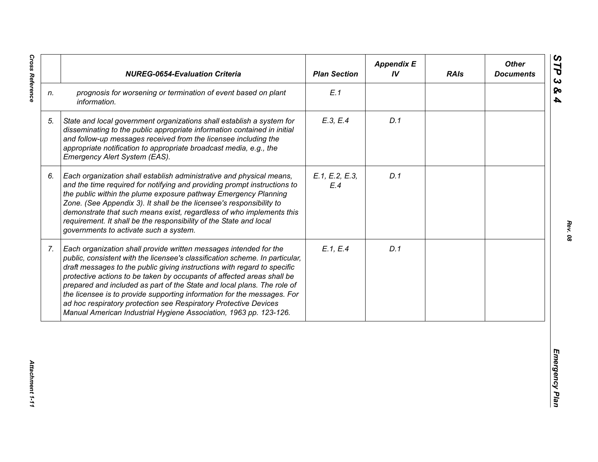|                | <b>NUREG-0654-Evaluation Criteria</b>                                                                                                                                                                                                                                                                                                                                                                                                                                                                                                                                                                  | <b>Plan Section</b>   | <b>Appendix E</b><br>IV | <b>RAIs</b> | <b>Other</b><br><b>Documents</b> |
|----------------|--------------------------------------------------------------------------------------------------------------------------------------------------------------------------------------------------------------------------------------------------------------------------------------------------------------------------------------------------------------------------------------------------------------------------------------------------------------------------------------------------------------------------------------------------------------------------------------------------------|-----------------------|-------------------------|-------------|----------------------------------|
| n.             | prognosis for worsening or termination of event based on plant<br>information.                                                                                                                                                                                                                                                                                                                                                                                                                                                                                                                         | E.1                   |                         |             |                                  |
| 5.             | State and local government organizations shall establish a system for<br>disseminating to the public appropriate information contained in initial<br>and follow-up messages received from the licensee including the<br>appropriate notification to appropriate broadcast media, e.g., the<br>Emergency Alert System (EAS).                                                                                                                                                                                                                                                                            | E.3, E.4              | D.1                     |             |                                  |
| 6.             | Each organization shall establish administrative and physical means,<br>and the time required for notifying and providing prompt instructions to<br>the public within the plume exposure pathway Emergency Planning<br>Zone. (See Appendix 3). It shall be the licensee's responsibility to<br>demonstrate that such means exist, regardless of who implements this<br>requirement. It shall be the responsibility of the State and local<br>governments to activate such a system.                                                                                                                    | E.1, E.2, E.3,<br>E.4 | D.1                     |             |                                  |
| 7 <sub>1</sub> | Each organization shall provide written messages intended for the<br>public, consistent with the licensee's classification scheme. In particular,<br>draft messages to the public giving instructions with regard to specific<br>protective actions to be taken by occupants of affected areas shall be<br>prepared and included as part of the State and local plans. The role of<br>the licensee is to provide supporting information for the messages. For<br>ad hoc respiratory protection see Respiratory Protective Devices<br>Manual American Industrial Hygiene Association, 1963 pp. 123-126. | E.1, E.4              | D.1                     |             |                                  |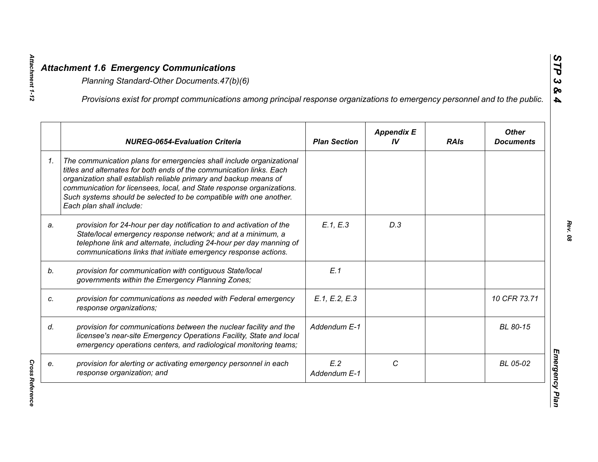Attachment 1-12

*Cross Reference* 

**Cross Reference** 

|    | Provisions exist for prompt communications among principal response organizations to emergency personnel and to the public.                                                                                                                                                                                                                                                                  |                     |                         |             |                                  |
|----|----------------------------------------------------------------------------------------------------------------------------------------------------------------------------------------------------------------------------------------------------------------------------------------------------------------------------------------------------------------------------------------------|---------------------|-------------------------|-------------|----------------------------------|
|    | <b>NUREG-0654-Evaluation Criteria</b>                                                                                                                                                                                                                                                                                                                                                        | <b>Plan Section</b> | <b>Appendix E</b><br>IV | <b>RAIs</b> | <b>Other</b><br><b>Documents</b> |
| 1. | The communication plans for emergencies shall include organizational<br>titles and alternates for both ends of the communication links. Each<br>organization shall establish reliable primary and backup means of<br>communication for licensees, local, and State response organizations.<br>Such systems should be selected to be compatible with one another.<br>Each plan shall include: |                     |                         |             |                                  |
| a. | provision for 24-hour per day notification to and activation of the<br>State/local emergency response network; and at a minimum, a<br>telephone link and alternate, including 24-hour per day manning of<br>communications links that initiate emergency response actions.                                                                                                                   | E.1, E.3            | D.3                     |             |                                  |
|    | provision for communication with contiguous State/local<br>governments within the Emergency Planning Zones;                                                                                                                                                                                                                                                                                  | E.1                 |                         |             |                                  |
|    | provision for communications as needed with Federal emergency<br>response organizations;                                                                                                                                                                                                                                                                                                     | E.1, E.2, E.3       |                         |             | 10 CFR 73.71                     |
|    | provision for communications between the nuclear facility and the<br>licensee's near-site Emergency Operations Facility, State and local<br>emergency operations centers, and radiological monitoring teams;                                                                                                                                                                                 | Addendum E-1        |                         |             | BL 80-15                         |
|    | provision for alerting or activating emergency personnel in each<br>response organization; and                                                                                                                                                                                                                                                                                               | E.2<br>Addendum E-1 | C                       |             | BL 05-02                         |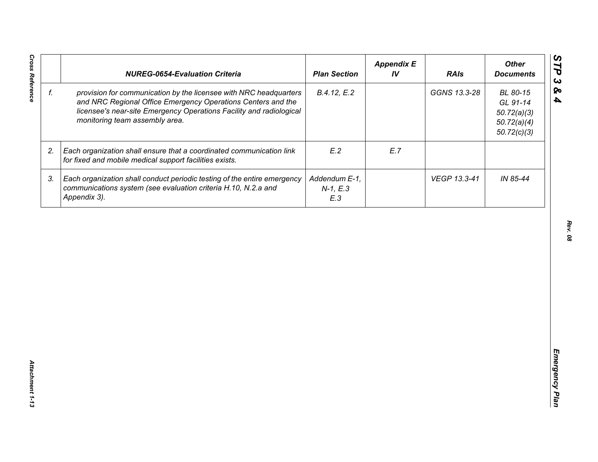| f. |                                                                                                                                                                                                                                            | <b>Plan Section</b>                | IV  | <b>RAIs</b>  | <b>Other</b><br><b>Documents</b>                                  |
|----|--------------------------------------------------------------------------------------------------------------------------------------------------------------------------------------------------------------------------------------------|------------------------------------|-----|--------------|-------------------------------------------------------------------|
|    | provision for communication by the licensee with NRC headquarters<br>and NRC Regional Office Emergency Operations Centers and the<br>licensee's near-site Emergency Operations Facility and radiological<br>monitoring team assembly area. | B.4.12, E.2                        |     | GGNS 13.3-28 | BL 80-15<br>GL 91-14<br>50.72(a)(3)<br>50.72(a)(4)<br>50.72(c)(3) |
| 2. | Each organization shall ensure that a coordinated communication link<br>for fixed and mobile medical support facilities exists.                                                                                                            | E.2                                | E.7 |              |                                                                   |
| 3. | Each organization shall conduct periodic testing of the entire emergency<br>communications system (see evaluation criteria H.10, N.2.a and<br>Appendix 3).                                                                                 | Addendum E-1,<br>$N-1, E.3$<br>E.3 |     | VEGP 13.3-41 | IN 85-44                                                          |
|    |                                                                                                                                                                                                                                            |                                    |     |              |                                                                   |
|    |                                                                                                                                                                                                                                            |                                    |     |              |                                                                   |
|    |                                                                                                                                                                                                                                            |                                    |     |              |                                                                   |
|    |                                                                                                                                                                                                                                            |                                    |     |              |                                                                   |
|    |                                                                                                                                                                                                                                            |                                    |     |              |                                                                   |
|    |                                                                                                                                                                                                                                            |                                    |     |              |                                                                   |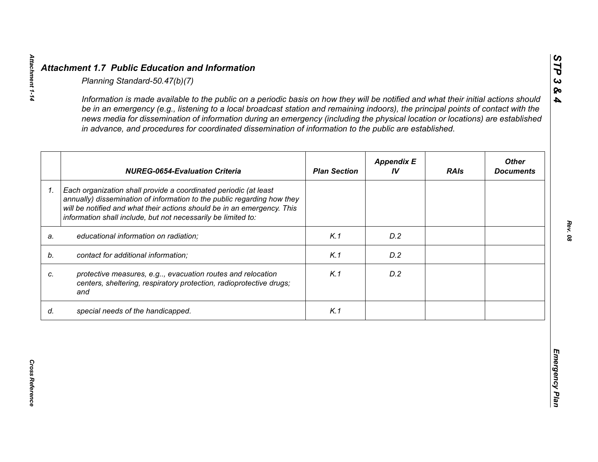|    | <b>NUREG-0654-Evaluation Criteria</b>                                                                                                                                                                                                                                                   | <b>Plan Section</b> | <b>Appendix E</b><br>IV | <b>RAIs</b> | <b>Other</b><br><b>Documents</b> |
|----|-----------------------------------------------------------------------------------------------------------------------------------------------------------------------------------------------------------------------------------------------------------------------------------------|---------------------|-------------------------|-------------|----------------------------------|
| 1. | Each organization shall provide a coordinated periodic (at least<br>annually) dissemination of information to the public regarding how they<br>will be notified and what their actions should be in an emergency. This<br>information shall include, but not necessarily be limited to: |                     |                         |             |                                  |
| a. | educational information on radiation;                                                                                                                                                                                                                                                   | K.1                 | D.2                     |             |                                  |
| b. | contact for additional information;                                                                                                                                                                                                                                                     | K.1                 | D.2                     |             |                                  |
|    | protective measures, e.g, evacuation routes and relocation<br>centers, sheltering, respiratory protection, radioprotective drugs;<br>and                                                                                                                                                | K.1                 | D.2                     |             |                                  |
| d. | special needs of the handicapped.                                                                                                                                                                                                                                                       | K.1                 |                         |             |                                  |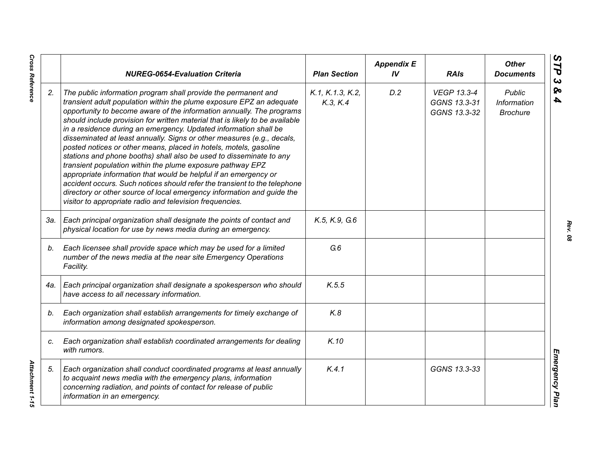|     | <b>NUREG-0654-Evaluation Criteria</b>                                                                                                                                                                                                                                                                                                                                                                                                                                                                                                                                                                                                                                                                                                                                                                                                                                                                                                          | <b>Plan Section</b>          | <b>Appendix E</b><br>IV | <b>RAIs</b>                                        | <b>Other</b><br><b>Documents</b>                       |
|-----|------------------------------------------------------------------------------------------------------------------------------------------------------------------------------------------------------------------------------------------------------------------------------------------------------------------------------------------------------------------------------------------------------------------------------------------------------------------------------------------------------------------------------------------------------------------------------------------------------------------------------------------------------------------------------------------------------------------------------------------------------------------------------------------------------------------------------------------------------------------------------------------------------------------------------------------------|------------------------------|-------------------------|----------------------------------------------------|--------------------------------------------------------|
| 2.  | The public information program shall provide the permanent and<br>transient adult population within the plume exposure EPZ an adequate<br>opportunity to become aware of the information annually. The programs<br>should include provision for written material that is likely to be available<br>in a residence during an emergency. Updated information shall be<br>disseminated at least annually. Signs or other measures (e.g., decals,<br>posted notices or other means, placed in hotels, motels, gasoline<br>stations and phone booths) shall also be used to disseminate to any<br>transient population within the plume exposure pathway EPZ<br>appropriate information that would be helpful if an emergency or<br>accident occurs. Such notices should refer the transient to the telephone<br>directory or other source of local emergency information and guide the<br>visitor to appropriate radio and television frequencies. | K.1, K.1.3, K.2,<br>K.3, K.4 | D.2                     | <b>VEGP 13.3-4</b><br>GGNS 13.3-31<br>GGNS 13.3-32 | <b>Public</b><br><b>Information</b><br><b>Brochure</b> |
| 3а. | Each principal organization shall designate the points of contact and<br>physical location for use by news media during an emergency.                                                                                                                                                                                                                                                                                                                                                                                                                                                                                                                                                                                                                                                                                                                                                                                                          | K.5, K.9, G.6                |                         |                                                    |                                                        |
| b.  | Each licensee shall provide space which may be used for a limited<br>number of the news media at the near site Emergency Operations<br>Facility.                                                                                                                                                                                                                                                                                                                                                                                                                                                                                                                                                                                                                                                                                                                                                                                               | G.6                          |                         |                                                    |                                                        |
| 4a. | Each principal organization shall designate a spokesperson who should<br>have access to all necessary information.                                                                                                                                                                                                                                                                                                                                                                                                                                                                                                                                                                                                                                                                                                                                                                                                                             | K.5.5                        |                         |                                                    |                                                        |
| b.  | Each organization shall establish arrangements for timely exchange of<br>information among designated spokesperson.                                                                                                                                                                                                                                                                                                                                                                                                                                                                                                                                                                                                                                                                                                                                                                                                                            | K.8                          |                         |                                                    |                                                        |
| C.  | Each organization shall establish coordinated arrangements for dealing<br>with rumors.                                                                                                                                                                                                                                                                                                                                                                                                                                                                                                                                                                                                                                                                                                                                                                                                                                                         | K.10                         |                         |                                                    |                                                        |
| 5.  | Each organization shall conduct coordinated programs at least annually<br>to acquaint news media with the emergency plans, information<br>concerning radiation, and points of contact for release of public<br>information in an emergency.                                                                                                                                                                                                                                                                                                                                                                                                                                                                                                                                                                                                                                                                                                    | K.4.1                        |                         | GGNS 13.3-33                                       |                                                        |

*Rev. 08*

**Cross Reference** 

*Cross Reference Attachment 1-15* Attachment 1-15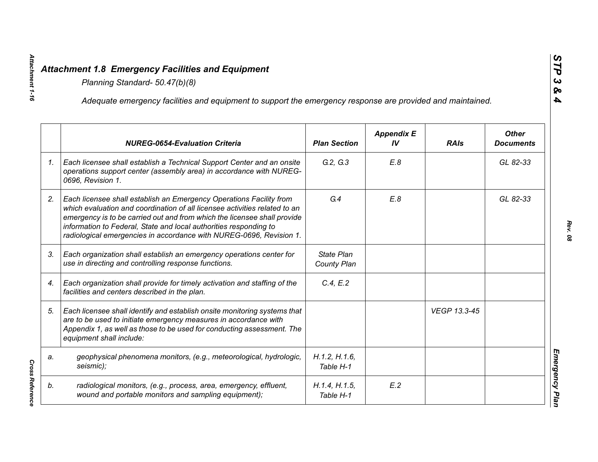|    | Adequate emergency facilities and equipment to support the emergency response are provided and maintained.                                                                                                                                                                                                                                                                |                            |                         |              |                                  |
|----|---------------------------------------------------------------------------------------------------------------------------------------------------------------------------------------------------------------------------------------------------------------------------------------------------------------------------------------------------------------------------|----------------------------|-------------------------|--------------|----------------------------------|
|    | <b>NUREG-0654-Evaluation Criteria</b>                                                                                                                                                                                                                                                                                                                                     | <b>Plan Section</b>        | <b>Appendix E</b><br>IV | <b>RAIs</b>  | <b>Other</b><br><b>Documents</b> |
| 1. | Each licensee shall establish a Technical Support Center and an onsite<br>operations support center (assembly area) in accordance with NUREG-<br>0696, Revision 1.                                                                                                                                                                                                        | G.2, G.3                   | E.8                     |              | GL 82-33                         |
| 2. | Each licensee shall establish an Emergency Operations Facility from<br>which evaluation and coordination of all licensee activities related to an<br>emergency is to be carried out and from which the licensee shall provide<br>information to Federal, State and local authorities responding to<br>radiological emergencies in accordance with NUREG-0696, Revision 1. | G.4                        | E.8                     |              | GL 82-33                         |
| 3. | Each organization shall establish an emergency operations center for<br>use in directing and controlling response functions.                                                                                                                                                                                                                                              | State Plan<br>County Plan  |                         |              |                                  |
| 4. | Each organization shall provide for timely activation and staffing of the<br>facilities and centers described in the plan.                                                                                                                                                                                                                                                | C.4, E.2                   |                         |              |                                  |
| 5. | Each licensee shall identify and establish onsite monitoring systems that<br>are to be used to initiate emergency measures in accordance with<br>Appendix 1, as well as those to be used for conducting assessment. The<br>equipment shall include:                                                                                                                       |                            |                         | VEGP 13.3-45 |                                  |
| a. | geophysical phenomena monitors, (e.g., meteorological, hydrologic,<br>seismic);                                                                                                                                                                                                                                                                                           | H.1.2, H.1.6,<br>Table H-1 |                         |              |                                  |
| b. | radiological monitors, (e.g., process, area, emergency, effluent,<br>wound and portable monitors and sampling equipment);                                                                                                                                                                                                                                                 | H.1.4, H.1.5,<br>Table H-1 | E.2                     |              |                                  |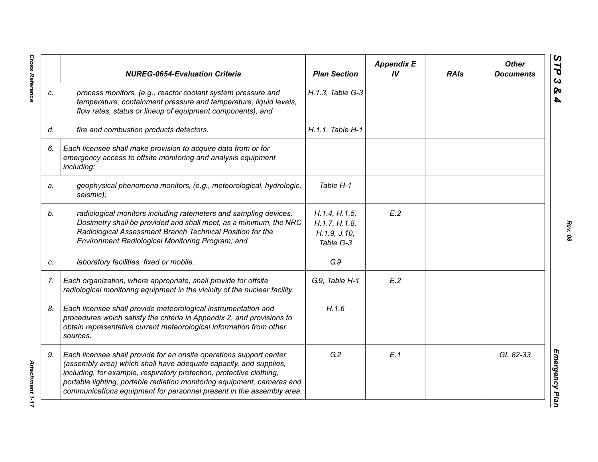|    | <b>NUREG-0654-Evaluation Criteria</b>                                                                                                                                                                                                                                                                                                                               | <b>Plan Section</b>                                         | <b>Appendix E</b><br>IV | <b>RAIs</b> | <b>Other</b><br><b>Documents</b> |
|----|---------------------------------------------------------------------------------------------------------------------------------------------------------------------------------------------------------------------------------------------------------------------------------------------------------------------------------------------------------------------|-------------------------------------------------------------|-------------------------|-------------|----------------------------------|
| C. | process monitors, (e.g., reactor coolant system pressure and<br>temperature, containment pressure and temperature, liquid levels,<br>flow rates, status or lineup of equipment components), and                                                                                                                                                                     | H.1.3, Table G-3                                            |                         |             |                                  |
| d. | fire and combustion products detectors.                                                                                                                                                                                                                                                                                                                             | H.1.1. Table H-1                                            |                         |             |                                  |
| 6. | Each licensee shall make provision to acquire data from or for<br>emergency access to offsite monitoring and analysis equipment<br>including:                                                                                                                                                                                                                       |                                                             |                         |             |                                  |
| a. | geophysical phenomena monitors, (e.g., meteorological, hydrologic,<br>seismic);                                                                                                                                                                                                                                                                                     | Table H-1                                                   |                         |             |                                  |
| b. | radiological monitors including ratemeters and sampling devices.<br>Dosimetry shall be provided and shall meet, as a minimum, the NRC<br>Radiological Assessment Branch Technical Position for the<br>Environment Radiological Monitoring Program; and                                                                                                              | H.1.4, H.1.5,<br>H.1.7, H.1.8,<br>H.1.9, J.10,<br>Table G-3 | E.2                     |             |                                  |
| C. | laboratory facilities, fixed or mobile.                                                                                                                                                                                                                                                                                                                             | G.9                                                         |                         |             |                                  |
| 7. | Each organization, where appropriate, shall provide for offsite<br>radiological monitoring equipment in the vicinity of the nuclear facility.                                                                                                                                                                                                                       | G.9, Table H-1                                              | E.2                     |             |                                  |
| 8. | Each licensee shall provide meteorological instrumentation and<br>procedures which satisfy the criteria in Appendix 2, and provisions to<br>obtain representative current meteorological information from other<br>sources.                                                                                                                                         | H.1.6                                                       |                         |             |                                  |
| 9. | Each licensee shall provide for an onsite operations support center<br>(assembly area) which shall have adequate capacity, and supplies,<br>including, for example, respiratory protection, protective clothing,<br>portable lighting, portable radiation monitoring equipment, cameras and<br>communications equipment for personnel present in the assembly area. | G.2                                                         | E.1                     |             | GL 82-33                         |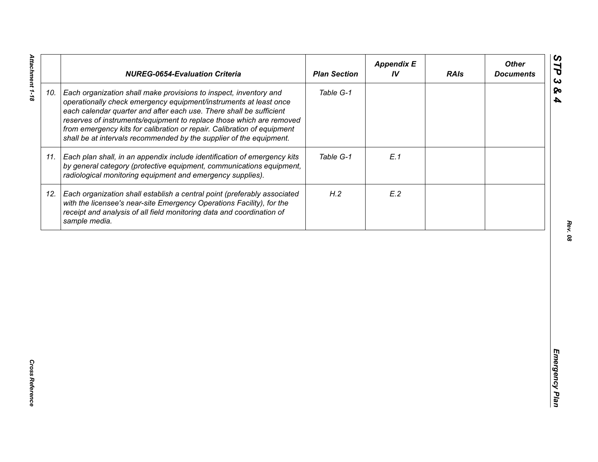|     | <b>NUREG-0654-Evaluation Criteria</b>                                                                                                                                                                                                                                                                                                                                                                                                   | <b>Plan Section</b> | <b>Appendix E</b><br>IV | <b>RAIs</b> | <b>Other</b><br><b>Documents</b> |
|-----|-----------------------------------------------------------------------------------------------------------------------------------------------------------------------------------------------------------------------------------------------------------------------------------------------------------------------------------------------------------------------------------------------------------------------------------------|---------------------|-------------------------|-------------|----------------------------------|
| 10. | Each organization shall make provisions to inspect, inventory and<br>operationally check emergency equipment/instruments at least once<br>each calendar quarter and after each use. There shall be sufficient<br>reserves of instruments/equipment to replace those which are removed<br>from emergency kits for calibration or repair. Calibration of equipment<br>shall be at intervals recommended by the supplier of the equipment. | Table G-1           |                         |             |                                  |
| 11. | Each plan shall, in an appendix include identification of emergency kits<br>by general category (protective equipment, communications equipment,<br>radiological monitoring equipment and emergency supplies).                                                                                                                                                                                                                          | Table G-1           | E.1                     |             |                                  |
| 12. | Each organization shall establish a central point (preferably associated<br>with the licensee's near-site Emergency Operations Facility), for the<br>receipt and analysis of all field monitoring data and coordination of<br>sample media.                                                                                                                                                                                             | H.2                 | E.2                     |             |                                  |
|     |                                                                                                                                                                                                                                                                                                                                                                                                                                         |                     |                         |             |                                  |
|     |                                                                                                                                                                                                                                                                                                                                                                                                                                         |                     |                         |             |                                  |
|     |                                                                                                                                                                                                                                                                                                                                                                                                                                         |                     |                         |             |                                  |
|     |                                                                                                                                                                                                                                                                                                                                                                                                                                         |                     |                         |             |                                  |
|     |                                                                                                                                                                                                                                                                                                                                                                                                                                         |                     |                         |             |                                  |

Attachment 1-18 *Attachment 1-18*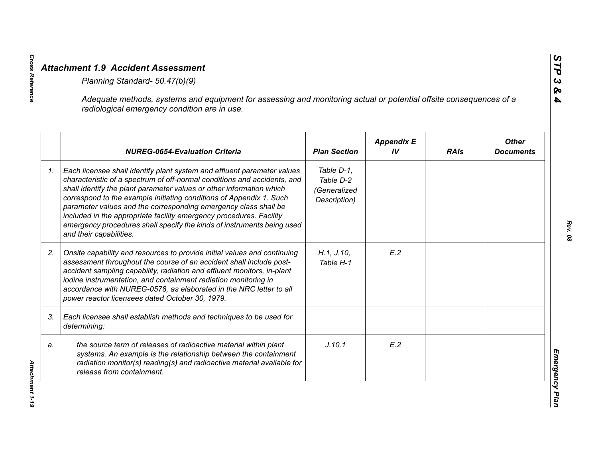|    | Adequate methods, systems and equipment for assessing and monitoring actual or potential offsite consequences of a<br>radiological emergency condition are in use.                                                                                                                                                                                                                                                                                                                                                                                |                                                         |                         |             |                                  |
|----|---------------------------------------------------------------------------------------------------------------------------------------------------------------------------------------------------------------------------------------------------------------------------------------------------------------------------------------------------------------------------------------------------------------------------------------------------------------------------------------------------------------------------------------------------|---------------------------------------------------------|-------------------------|-------------|----------------------------------|
|    | <b>NUREG-0654-Evaluation Criteria</b>                                                                                                                                                                                                                                                                                                                                                                                                                                                                                                             | <b>Plan Section</b>                                     | <b>Appendix E</b><br>IV | <b>RAIs</b> | <b>Other</b><br><b>Documents</b> |
| 1. | Each licensee shall identify plant system and effluent parameter values<br>characteristic of a spectrum of off-normal conditions and accidents, and<br>shall identify the plant parameter values or other information which<br>correspond to the example initiating conditions of Appendix 1. Such<br>parameter values and the corresponding emergency class shall be<br>included in the appropriate facility emergency procedures. Facility<br>emergency procedures shall specify the kinds of instruments being used<br>and their capabilities. | Table D-1,<br>Table D-2<br>(Generalized<br>Description) |                         |             |                                  |
| 2. | Onsite capability and resources to provide initial values and continuing<br>assessment throughout the course of an accident shall include post-<br>accident sampling capability, radiation and effluent monitors, in-plant<br>iodine instrumentation, and containment radiation monitoring in<br>accordance with NUREG-0578, as elaborated in the NRC letter to all<br>power reactor licensees dated October 30, 1979.                                                                                                                            | H.1, J.10,<br>Table H-1                                 | E.2                     |             |                                  |
| 3. | Each licensee shall establish methods and techniques to be used for<br>determining:                                                                                                                                                                                                                                                                                                                                                                                                                                                               |                                                         |                         |             |                                  |
| a. | the source term of releases of radioactive material within plant<br>systems. An example is the relationship between the containment<br>radiation monitor(s) reading(s) and radioactive material available for<br>release from containment.                                                                                                                                                                                                                                                                                                        | J.10.1                                                  | E.2                     |             |                                  |

**Cross Reference**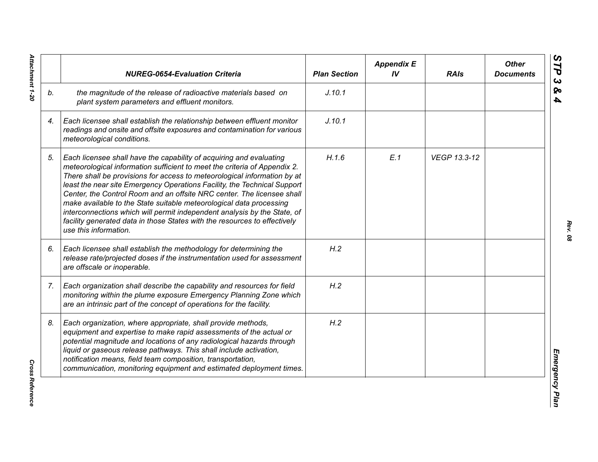|    | <b>NUREG-0654-Evaluation Criteria</b>                                                                                                                                                                                                                                                                                                                                                                                                                                                                                                                                                                                                       | <b>Plan Section</b> | <b>Appendix E</b><br>IV | <b>RAIs</b>  | <b>Other</b><br><b>Documents</b> |
|----|---------------------------------------------------------------------------------------------------------------------------------------------------------------------------------------------------------------------------------------------------------------------------------------------------------------------------------------------------------------------------------------------------------------------------------------------------------------------------------------------------------------------------------------------------------------------------------------------------------------------------------------------|---------------------|-------------------------|--------------|----------------------------------|
| b. | the magnitude of the release of radioactive materials based on<br>plant system parameters and effluent monitors.                                                                                                                                                                                                                                                                                                                                                                                                                                                                                                                            | J.10.1              |                         |              |                                  |
| 4. | Each licensee shall establish the relationship between effluent monitor<br>readings and onsite and offsite exposures and contamination for various<br>meteorological conditions.                                                                                                                                                                                                                                                                                                                                                                                                                                                            | J.10.1              |                         |              |                                  |
| 5. | Each licensee shall have the capability of acquiring and evaluating<br>meteorological information sufficient to meet the criteria of Appendix 2.<br>There shall be provisions for access to meteorological information by at<br>least the near site Emergency Operations Facility, the Technical Support<br>Center, the Control Room and an offsite NRC center. The licensee shall<br>make available to the State suitable meteorological data processing<br>interconnections which will permit independent analysis by the State, of<br>facility generated data in those States with the resources to effectively<br>use this information. | H.1.6               | E.1                     | VEGP 13.3-12 |                                  |
| 6. | Each licensee shall establish the methodology for determining the<br>release rate/projected doses if the instrumentation used for assessment<br>are offscale or inoperable.                                                                                                                                                                                                                                                                                                                                                                                                                                                                 | H.2                 |                         |              |                                  |
| 7. | Each organization shall describe the capability and resources for field<br>monitoring within the plume exposure Emergency Planning Zone which<br>are an intrinsic part of the concept of operations for the facility.                                                                                                                                                                                                                                                                                                                                                                                                                       | H.2                 |                         |              |                                  |
| 8. | Each organization, where appropriate, shall provide methods,<br>equipment and expertise to make rapid assessments of the actual or<br>potential magnitude and locations of any radiological hazards through<br>liquid or gaseous release pathways. This shall include activation,<br>notification means, field team composition, transportation,<br>communication, monitoring equipment and estimated deployment times.                                                                                                                                                                                                                     | H.2                 |                         |              |                                  |

Attachment 1-20 *Attachment 1-20*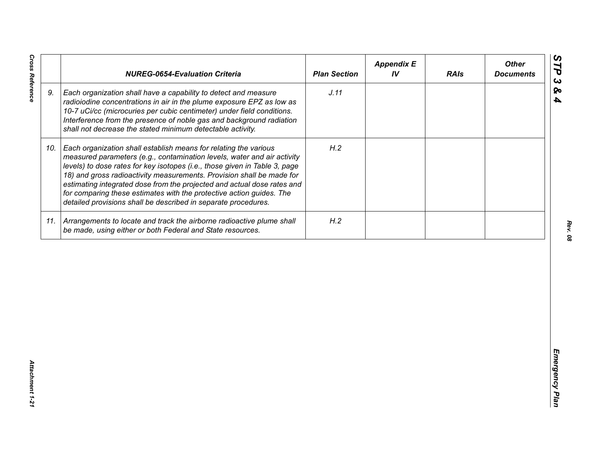| J.11<br>9.<br>Each organization shall have a capability to detect and measure<br>radioiodine concentrations in air in the plume exposure EPZ as low as<br>10-7 uCi/cc (microcuries per cubic centimeter) under field conditions.<br>Interference from the presence of noble gas and background radiation<br>shall not decrease the stated minimum detectable activity.<br>H.2<br>Each organization shall establish means for relating the various<br>10.<br>measured parameters (e.g., contamination levels, water and air activity<br>levels) to dose rates for key isotopes (i.e., those given in Table 3, page<br>18) and gross radioactivity measurements. Provision shall be made for<br>estimating integrated dose from the projected and actual dose rates and<br>for comparing these estimates with the protective action guides. The<br>detailed provisions shall be described in separate procedures. | H.2<br>11. Arrangements to locate and track the airborne radioactive plume shall<br>be made, using either or both Federal and State resources. | <b>NUREG-0654-Evaluation Criteria</b> | <b>Plan Section</b> | <b>Appendix E</b><br>IV | <b>RAIs</b> | <b>Other</b><br><b>Documents</b> |
|-----------------------------------------------------------------------------------------------------------------------------------------------------------------------------------------------------------------------------------------------------------------------------------------------------------------------------------------------------------------------------------------------------------------------------------------------------------------------------------------------------------------------------------------------------------------------------------------------------------------------------------------------------------------------------------------------------------------------------------------------------------------------------------------------------------------------------------------------------------------------------------------------------------------|------------------------------------------------------------------------------------------------------------------------------------------------|---------------------------------------|---------------------|-------------------------|-------------|----------------------------------|
|                                                                                                                                                                                                                                                                                                                                                                                                                                                                                                                                                                                                                                                                                                                                                                                                                                                                                                                 |                                                                                                                                                |                                       |                     |                         |             |                                  |
|                                                                                                                                                                                                                                                                                                                                                                                                                                                                                                                                                                                                                                                                                                                                                                                                                                                                                                                 |                                                                                                                                                |                                       |                     |                         |             |                                  |
|                                                                                                                                                                                                                                                                                                                                                                                                                                                                                                                                                                                                                                                                                                                                                                                                                                                                                                                 |                                                                                                                                                |                                       |                     |                         |             |                                  |
|                                                                                                                                                                                                                                                                                                                                                                                                                                                                                                                                                                                                                                                                                                                                                                                                                                                                                                                 |                                                                                                                                                |                                       |                     |                         |             |                                  |

**Cross Reference** 

*Cross Reference Attachment 1-21* Attachment 1-21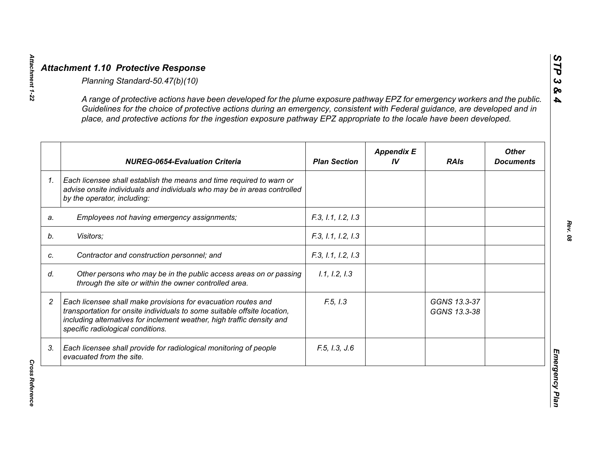|                | A range of protective actions have been developed for the plume exposure pathway EPZ for emergency workers and the public.<br>Guidelines for the choice of protective actions during an emergency, consistent with Federal guidance, are developed and in<br>place, and protective actions for the ingestion exposure pathway EPZ appropriate to the locale have been developed. |                     |                         |                              |                                  |
|----------------|----------------------------------------------------------------------------------------------------------------------------------------------------------------------------------------------------------------------------------------------------------------------------------------------------------------------------------------------------------------------------------|---------------------|-------------------------|------------------------------|----------------------------------|
|                | <b>NUREG-0654-Evaluation Criteria</b>                                                                                                                                                                                                                                                                                                                                            | <b>Plan Section</b> | <b>Appendix E</b><br>IV | <b>RAIs</b>                  | <b>Other</b><br><b>Documents</b> |
| 1 <sub>1</sub> | Each licensee shall establish the means and time required to warn or<br>advise onsite individuals and individuals who may be in areas controlled<br>by the operator, including:                                                                                                                                                                                                  |                     |                         |                              |                                  |
| a.             | Employees not having emergency assignments;                                                                                                                                                                                                                                                                                                                                      | F.3, 1.1, 1.2, 1.3  |                         |                              |                                  |
|                | Visitors;                                                                                                                                                                                                                                                                                                                                                                        | F.3, 1.1, 1.2, 1.3  |                         |                              |                                  |
|                | Contractor and construction personnel; and                                                                                                                                                                                                                                                                                                                                       | F.3, 1.1, 1.2, 1.3  |                         |                              |                                  |
|                | Other persons who may be in the public access areas on or passing<br>through the site or within the owner controlled area.                                                                                                                                                                                                                                                       | 1.1, 1.2, 1.3       |                         |                              |                                  |
|                | Each licensee shall make provisions for evacuation routes and<br>transportation for onsite individuals to some suitable offsite location,<br>including alternatives for inclement weather, high traffic density and<br>specific radiological conditions.                                                                                                                         | F.5, I.3            |                         | GGNS 13.3-37<br>GGNS 13.3-38 |                                  |
| 3.             | Each licensee shall provide for radiological monitoring of people<br>evacuated from the site.                                                                                                                                                                                                                                                                                    | F.5, I.3, J.6       |                         |                              |                                  |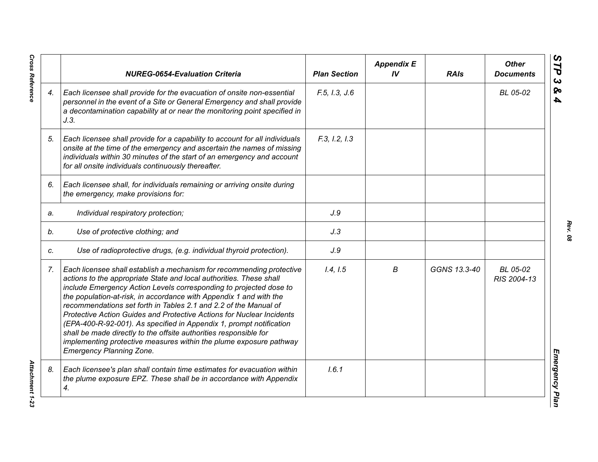|    | <b>NUREG-0654-Evaluation Criteria</b>                                                                                                                                                                                                                                                                                                                                                                                                                                                                                                                                                                                                                                                      | <b>Plan Section</b> | <b>Appendix E</b><br>IV | <b>RAIs</b>  | <b>Other</b><br><b>Documents</b> |
|----|--------------------------------------------------------------------------------------------------------------------------------------------------------------------------------------------------------------------------------------------------------------------------------------------------------------------------------------------------------------------------------------------------------------------------------------------------------------------------------------------------------------------------------------------------------------------------------------------------------------------------------------------------------------------------------------------|---------------------|-------------------------|--------------|----------------------------------|
| 4. | Each licensee shall provide for the evacuation of onsite non-essential<br>personnel in the event of a Site or General Emergency and shall provide<br>a decontamination capability at or near the monitoring point specified in<br>J.3.                                                                                                                                                                                                                                                                                                                                                                                                                                                     | F.5, I.3, J.6       |                         |              | BL 05-02                         |
| 5. | Each licensee shall provide for a capability to account for all individuals<br>onsite at the time of the emergency and ascertain the names of missing<br>individuals within 30 minutes of the start of an emergency and account<br>for all onsite individuals continuously thereafter.                                                                                                                                                                                                                                                                                                                                                                                                     | F.3, I.2, I.3       |                         |              |                                  |
| 6. | Each licensee shall, for individuals remaining or arriving onsite during<br>the emergency, make provisions for:                                                                                                                                                                                                                                                                                                                                                                                                                                                                                                                                                                            |                     |                         |              |                                  |
| a. | Individual respiratory protection;                                                                                                                                                                                                                                                                                                                                                                                                                                                                                                                                                                                                                                                         | J.9                 |                         |              |                                  |
| b. | Use of protective clothing; and                                                                                                                                                                                                                                                                                                                                                                                                                                                                                                                                                                                                                                                            | J.3                 |                         |              |                                  |
| C. | Use of radioprotective drugs, (e.g. individual thyroid protection).                                                                                                                                                                                                                                                                                                                                                                                                                                                                                                                                                                                                                        | J.9                 |                         |              |                                  |
| 7. | Each licensee shall establish a mechanism for recommending protective<br>actions to the appropriate State and local authorities. These shall<br>include Emergency Action Levels corresponding to projected dose to<br>the population-at-risk, in accordance with Appendix 1 and with the<br>recommendations set forth in Tables 2.1 and 2.2 of the Manual of<br>Protective Action Guides and Protective Actions for Nuclear Incidents<br>(EPA-400-R-92-001). As specified in Appendix 1, prompt notification<br>shall be made directly to the offsite authorities responsible for<br>implementing protective measures within the plume exposure pathway<br><b>Emergency Planning Zone.</b> | 1.4, 1.5            | В                       | GGNS 13.3-40 | BL 05-02<br>RIS 2004-13          |
| 8. | Each licensee's plan shall contain time estimates for evacuation within<br>the plume exposure EPZ. These shall be in accordance with Appendix<br>4.                                                                                                                                                                                                                                                                                                                                                                                                                                                                                                                                        | 1.6.1               |                         |              |                                  |

**Cross Reference** 

*Rev. 08*

*Cross Reference Attachment 1-23* **Attachment 1-23**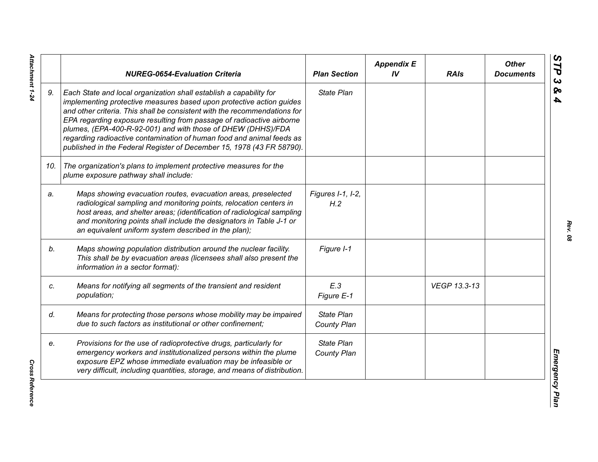|     | <b>NUREG-0654-Evaluation Criteria</b>                                                                                                                                                                                                                                                                                                                                                                                                                                                                              | <b>Plan Section</b>              | <b>Appendix E</b><br>IV | <b>RAIs</b>  | <b>Other</b><br><b>Documents</b> |
|-----|--------------------------------------------------------------------------------------------------------------------------------------------------------------------------------------------------------------------------------------------------------------------------------------------------------------------------------------------------------------------------------------------------------------------------------------------------------------------------------------------------------------------|----------------------------------|-------------------------|--------------|----------------------------------|
| 9.  | Each State and local organization shall establish a capability for<br>implementing protective measures based upon protective action guides<br>and other criteria. This shall be consistent with the recommendations for<br>EPA regarding exposure resulting from passage of radioactive airborne<br>plumes, (EPA-400-R-92-001) and with those of DHEW (DHHS)/FDA<br>regarding radioactive contamination of human food and animal feeds as<br>published in the Federal Register of December 15, 1978 (43 FR 58790). | <b>State Plan</b>                |                         |              |                                  |
| 10. | The organization's plans to implement protective measures for the<br>plume exposure pathway shall include:                                                                                                                                                                                                                                                                                                                                                                                                         |                                  |                         |              |                                  |
| a.  | Maps showing evacuation routes, evacuation areas, preselected<br>radiological sampling and monitoring points, relocation centers in<br>host areas, and shelter areas; (identification of radiological sampling<br>and monitoring points shall include the designators in Table J-1 or<br>an equivalent uniform system described in the plan);                                                                                                                                                                      | Figures I-1, I-2,<br>H.2         |                         |              |                                  |
| b.  | Maps showing population distribution around the nuclear facility.<br>This shall be by evacuation areas (licensees shall also present the<br>information in a sector format):                                                                                                                                                                                                                                                                                                                                       | Figure I-1                       |                         |              |                                  |
| c.  | Means for notifying all segments of the transient and resident<br>population;                                                                                                                                                                                                                                                                                                                                                                                                                                      | E.3<br>Figure E-1                |                         | VEGP 13.3-13 |                                  |
| d.  | Means for protecting those persons whose mobility may be impaired<br>due to such factors as institutional or other confinement;                                                                                                                                                                                                                                                                                                                                                                                    | <b>State Plan</b><br>County Plan |                         |              |                                  |
| e.  | Provisions for the use of radioprotective drugs, particularly for<br>emergency workers and institutionalized persons within the plume<br>exposure EPZ whose immediate evaluation may be infeasible or<br>very difficult, including quantities, storage, and means of distribution.                                                                                                                                                                                                                                 | <b>State Plan</b><br>County Plan |                         |              |                                  |

Attachment 1-24 *Attachment 1-24*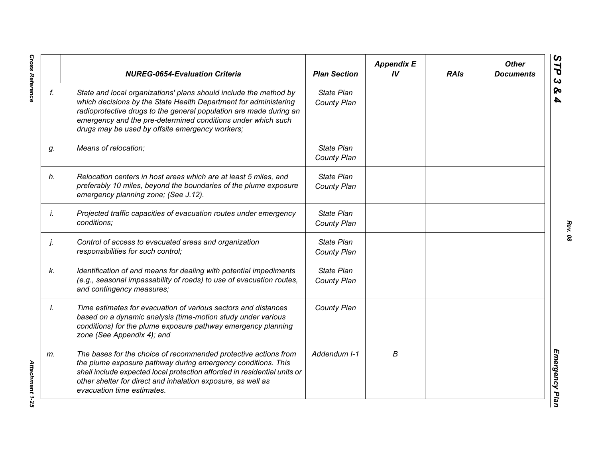|    | <b>NUREG-0654-Evaluation Criteria</b>                                                                                                                                                                                                                                                                                          | <b>Plan Section</b>              | <b>Appendix E</b><br>IV | <b>RAIs</b> | <b>Other</b><br><b>Documents</b> |
|----|--------------------------------------------------------------------------------------------------------------------------------------------------------------------------------------------------------------------------------------------------------------------------------------------------------------------------------|----------------------------------|-------------------------|-------------|----------------------------------|
| f. | State and local organizations' plans should include the method by<br>which decisions by the State Health Department for administering<br>radioprotective drugs to the general population are made during an<br>emergency and the pre-determined conditions under which such<br>drugs may be used by offsite emergency workers; | <b>State Plan</b><br>County Plan |                         |             |                                  |
| g. | Means of relocation;                                                                                                                                                                                                                                                                                                           | State Plan<br>County Plan        |                         |             |                                  |
| h. | Relocation centers in host areas which are at least 5 miles, and<br>preferably 10 miles, beyond the boundaries of the plume exposure<br>emergency planning zone; (See J.12).                                                                                                                                                   | State Plan<br>County Plan        |                         |             |                                  |
| İ. | Projected traffic capacities of evacuation routes under emergency<br>conditions;                                                                                                                                                                                                                                               | State Plan<br>County Plan        |                         |             |                                  |
| j. | Control of access to evacuated areas and organization<br>responsibilities for such control;                                                                                                                                                                                                                                    | State Plan<br>County Plan        |                         |             |                                  |
| k. | Identification of and means for dealing with potential impediments<br>(e.g., seasonal impassability of roads) to use of evacuation routes,<br>and contingency measures;                                                                                                                                                        | State Plan<br>County Plan        |                         |             |                                  |
| Ι. | Time estimates for evacuation of various sectors and distances<br>based on a dynamic analysis (time-motion study under various<br>conditions) for the plume exposure pathway emergency planning<br>zone (See Appendix 4); and                                                                                                  | County Plan                      |                         |             |                                  |
| m. | The bases for the choice of recommended protective actions from<br>the plume exposure pathway during emergency conditions. This<br>shall include expected local protection afforded in residential units or<br>other shelter for direct and inhalation exposure, as well as<br>evacuation time estimates.                      | Addendum I-1                     | В                       |             |                                  |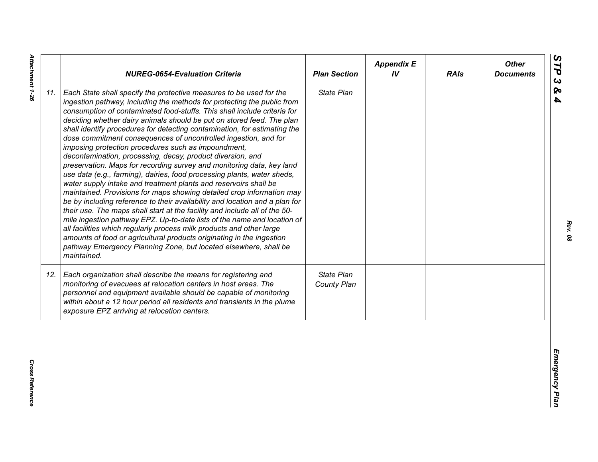| State Plan<br>Each State shall specify the protective measures to be used for the<br>ingestion pathway, including the methods for protecting the public from<br>consumption of contaminated food-stuffs. This shall include criteria for<br>deciding whether dairy animals should be put on stored feed. The plan<br>shall identify procedures for detecting contamination, for estimating the<br>dose commitment consequences of uncontrolled ingestion, and for<br>imposing protection procedures such as impoundment,<br>decontamination, processing, decay, product diversion, and<br>preservation. Maps for recording survey and monitoring data, key land<br>use data (e.g., farming), dairies, food processing plants, water sheds,<br>water supply intake and treatment plants and reservoirs shall be<br>maintained. Provisions for maps showing detailed crop information may<br>be by including reference to their availability and location and a plan for<br>their use. The maps shall start at the facility and include all of the 50-<br>mile ingestion pathway EPZ. Up-to-date lists of the name and location of<br>all facilities which regularly process milk products and other large<br>amounts of food or agricultural products originating in the ingestion<br>pathway Emergency Planning Zone, but located elsewhere, shall be<br>maintained.<br>State Plan<br>Each organization shall describe the means for registering and<br>monitoring of evacuees at relocation centers in host areas. The<br>County Plan<br>personnel and equipment available should be capable of monitoring<br>within about a 12 hour period all residents and transients in the plume<br>exposure EPZ arriving at relocation centers. |     | <b>NUREG-0654-Evaluation Criteria</b> | <b>Plan Section</b> | <b>Appendix E</b><br>IV | <b>RAIs</b> | <b>Other</b><br><b>Documents</b> |
|----------------------------------------------------------------------------------------------------------------------------------------------------------------------------------------------------------------------------------------------------------------------------------------------------------------------------------------------------------------------------------------------------------------------------------------------------------------------------------------------------------------------------------------------------------------------------------------------------------------------------------------------------------------------------------------------------------------------------------------------------------------------------------------------------------------------------------------------------------------------------------------------------------------------------------------------------------------------------------------------------------------------------------------------------------------------------------------------------------------------------------------------------------------------------------------------------------------------------------------------------------------------------------------------------------------------------------------------------------------------------------------------------------------------------------------------------------------------------------------------------------------------------------------------------------------------------------------------------------------------------------------------------------------------------------------------------------------------------------------|-----|---------------------------------------|---------------------|-------------------------|-------------|----------------------------------|
|                                                                                                                                                                                                                                                                                                                                                                                                                                                                                                                                                                                                                                                                                                                                                                                                                                                                                                                                                                                                                                                                                                                                                                                                                                                                                                                                                                                                                                                                                                                                                                                                                                                                                                                                        | 11. |                                       |                     |                         |             |                                  |
|                                                                                                                                                                                                                                                                                                                                                                                                                                                                                                                                                                                                                                                                                                                                                                                                                                                                                                                                                                                                                                                                                                                                                                                                                                                                                                                                                                                                                                                                                                                                                                                                                                                                                                                                        | 12. |                                       |                     |                         |             |                                  |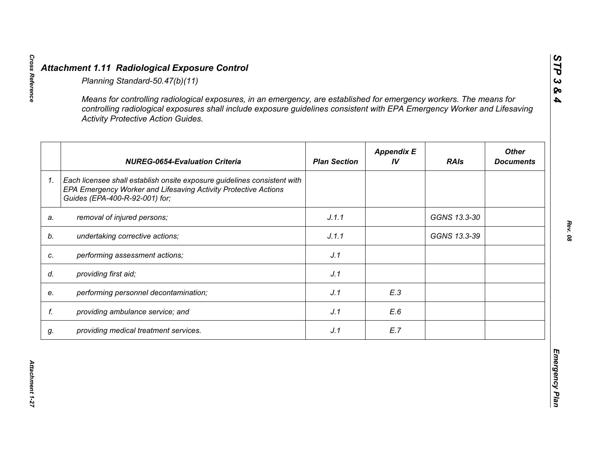|    | <b>Activity Protective Action Guides.</b>                                                                                                                                     |                     |                         |              |                                  |
|----|-------------------------------------------------------------------------------------------------------------------------------------------------------------------------------|---------------------|-------------------------|--------------|----------------------------------|
|    | <b>NUREG-0654-Evaluation Criteria</b>                                                                                                                                         | <b>Plan Section</b> | <b>Appendix E</b><br>IV | <b>RAIs</b>  | <b>Other</b><br><b>Documents</b> |
| 1. | Each licensee shall establish onsite exposure guidelines consistent with<br>EPA Emergency Worker and Lifesaving Activity Protective Actions<br>Guides (EPA-400-R-92-001) for; |                     |                         |              |                                  |
| a. | removal of injured persons;                                                                                                                                                   | J.1.1               |                         | GGNS 13.3-30 |                                  |
|    | undertaking corrective actions;                                                                                                                                               | J.1.1               |                         | GGNS 13.3-39 |                                  |
| C. | performing assessment actions;                                                                                                                                                | J.1                 |                         |              |                                  |
| d. | providing first aid;                                                                                                                                                          | J.1                 |                         |              |                                  |
| e. | performing personnel decontamination;                                                                                                                                         | J.1                 | E.3                     |              |                                  |
| f. | providing ambulance service; and                                                                                                                                              | J.1                 | E.6                     |              |                                  |
| g. | providing medical treatment services.                                                                                                                                         | J.1                 | E.7                     |              |                                  |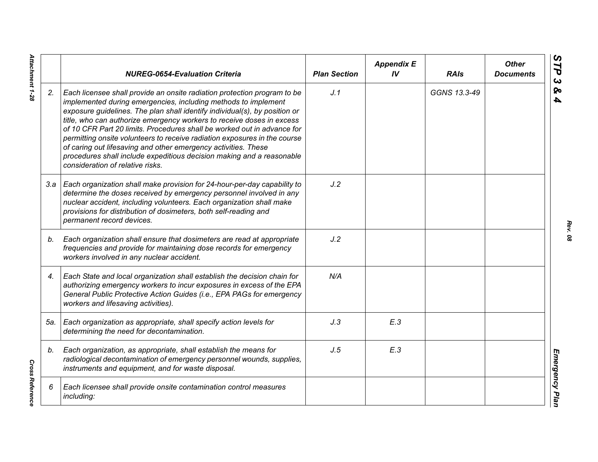|     | <b>NUREG-0654-Evaluation Criteria</b>                                                                                                                                                                                                                                                                                                                                                                                                                                                                                                                                                                                                    | <b>Plan Section</b> | <b>Appendix E</b><br>IV | <b>RAIs</b>  | <b>Other</b><br><b>Documents</b> |
|-----|------------------------------------------------------------------------------------------------------------------------------------------------------------------------------------------------------------------------------------------------------------------------------------------------------------------------------------------------------------------------------------------------------------------------------------------------------------------------------------------------------------------------------------------------------------------------------------------------------------------------------------------|---------------------|-------------------------|--------------|----------------------------------|
| 2.  | Each licensee shall provide an onsite radiation protection program to be<br>implemented during emergencies, including methods to implement<br>exposure guidelines. The plan shall identify individual(s), by position or<br>title, who can authorize emergency workers to receive doses in excess<br>of 10 CFR Part 20 limits. Procedures shall be worked out in advance for<br>permitting onsite volunteers to receive radiation exposures in the course<br>of caring out lifesaving and other emergency activities. These<br>procedures shall include expeditious decision making and a reasonable<br>consideration of relative risks. | J.1                 |                         | GGNS 13.3-49 |                                  |
|     | 3.a   Each organization shall make provision for 24-hour-per-day capability to<br>determine the doses received by emergency personnel involved in any<br>nuclear accident, including volunteers. Each organization shall make<br>provisions for distribution of dosimeters, both self-reading and<br>permanent record devices.                                                                                                                                                                                                                                                                                                           | J.2                 |                         |              |                                  |
| b.  | Each organization shall ensure that dosimeters are read at appropriate<br>frequencies and provide for maintaining dose records for emergency<br>workers involved in any nuclear accident.                                                                                                                                                                                                                                                                                                                                                                                                                                                | J.2                 |                         |              |                                  |
| 4.  | Each State and local organization shall establish the decision chain for<br>authorizing emergency workers to incur exposures in excess of the EPA<br>General Public Protective Action Guides (i.e., EPA PAGs for emergency<br>workers and lifesaving activities).                                                                                                                                                                                                                                                                                                                                                                        | N/A                 |                         |              |                                  |
| 5а. | Each organization as appropriate, shall specify action levels for<br>determining the need for decontamination.                                                                                                                                                                                                                                                                                                                                                                                                                                                                                                                           | J.3                 | E.3                     |              |                                  |
| b.  | Each organization, as appropriate, shall establish the means for<br>radiological decontamination of emergency personnel wounds, supplies,<br>instruments and equipment, and for waste disposal.                                                                                                                                                                                                                                                                                                                                                                                                                                          | J.5                 | E.3                     |              |                                  |
| 6   | Each licensee shall provide onsite contamination control measures<br>including:                                                                                                                                                                                                                                                                                                                                                                                                                                                                                                                                                          |                     |                         |              |                                  |

*Rev. 08*

Attachment 1-28 *Attachment 1-28*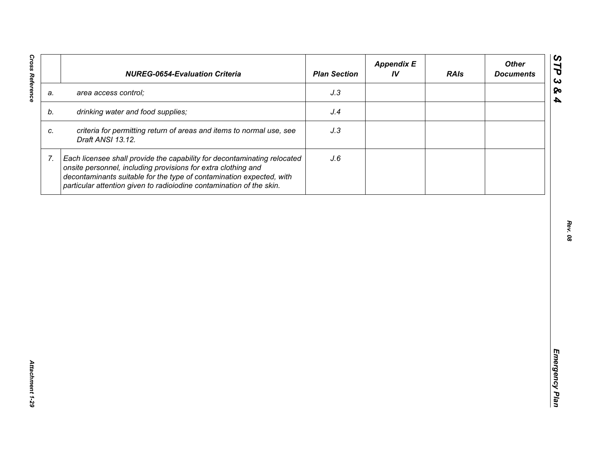| J.3<br>area access control;<br>a.<br>drinking water and food supplies;<br>J.4<br>b.<br>criteria for permitting return of areas and items to normal use, see<br>J.3<br>C.<br>Draft ANSI 13.12.<br>7.<br>Each licensee shall provide the capability for decontaminating relocated<br>J.6<br>onsite personnel, including provisions for extra clothing and<br>decontaminants suitable for the type of contamination expected, with | <b>NUREG-0654-Evaluation Criteria</b>                                | <b>Plan Section</b> | <b>Appendix E</b><br>IV | <b>RAIs</b> | <b>Other</b><br><b>Documents</b> |
|---------------------------------------------------------------------------------------------------------------------------------------------------------------------------------------------------------------------------------------------------------------------------------------------------------------------------------------------------------------------------------------------------------------------------------|----------------------------------------------------------------------|---------------------|-------------------------|-------------|----------------------------------|
|                                                                                                                                                                                                                                                                                                                                                                                                                                 |                                                                      |                     |                         |             |                                  |
|                                                                                                                                                                                                                                                                                                                                                                                                                                 |                                                                      |                     |                         |             |                                  |
|                                                                                                                                                                                                                                                                                                                                                                                                                                 |                                                                      |                     |                         |             |                                  |
|                                                                                                                                                                                                                                                                                                                                                                                                                                 | particular attention given to radioiodine contamination of the skin. |                     |                         |             |                                  |
|                                                                                                                                                                                                                                                                                                                                                                                                                                 |                                                                      |                     |                         |             |                                  |
|                                                                                                                                                                                                                                                                                                                                                                                                                                 |                                                                      |                     |                         |             |                                  |
|                                                                                                                                                                                                                                                                                                                                                                                                                                 |                                                                      |                     |                         |             |                                  |
|                                                                                                                                                                                                                                                                                                                                                                                                                                 |                                                                      |                     |                         |             |                                  |
|                                                                                                                                                                                                                                                                                                                                                                                                                                 |                                                                      |                     |                         |             |                                  |
|                                                                                                                                                                                                                                                                                                                                                                                                                                 |                                                                      |                     |                         |             |                                  |
|                                                                                                                                                                                                                                                                                                                                                                                                                                 |                                                                      |                     |                         |             |                                  |
|                                                                                                                                                                                                                                                                                                                                                                                                                                 |                                                                      |                     |                         |             |                                  |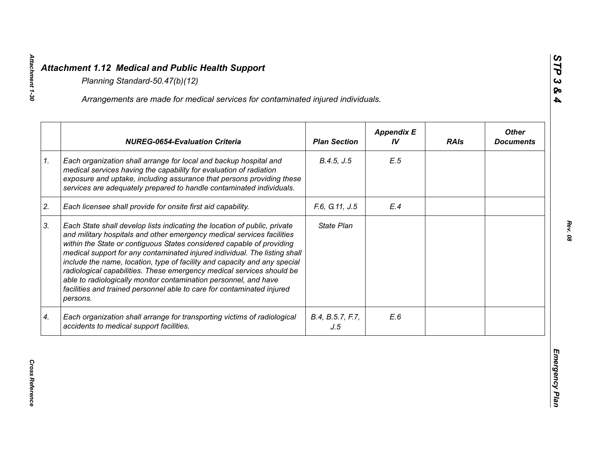|    | Arrangements are made for medical services for contaminated injured individuals.                                                                                                                                                                                                                                                                                                                                                                                                                                                                                                                                           |                         |                         |             |                                  |
|----|----------------------------------------------------------------------------------------------------------------------------------------------------------------------------------------------------------------------------------------------------------------------------------------------------------------------------------------------------------------------------------------------------------------------------------------------------------------------------------------------------------------------------------------------------------------------------------------------------------------------------|-------------------------|-------------------------|-------------|----------------------------------|
|    | <b>NUREG-0654-Evaluation Criteria</b>                                                                                                                                                                                                                                                                                                                                                                                                                                                                                                                                                                                      | <b>Plan Section</b>     | <b>Appendix E</b><br>IV | <b>RAIs</b> | <b>Other</b><br><b>Documents</b> |
| 1. | Each organization shall arrange for local and backup hospital and<br>medical services having the capability for evaluation of radiation<br>exposure and uptake, including assurance that persons providing these<br>services are adequately prepared to handle contaminated individuals.                                                                                                                                                                                                                                                                                                                                   | B.4.5, J.5              | E.5                     |             |                                  |
| 2. | Each licensee shall provide for onsite first aid capability.                                                                                                                                                                                                                                                                                                                                                                                                                                                                                                                                                               | F.6, G.11, J.5          | E.4                     |             |                                  |
| 3. | Each State shall develop lists indicating the location of public, private<br>and military hospitals and other emergency medical services facilities<br>within the State or contiguous States considered capable of providing<br>medical support for any contaminated injured individual. The listing shall<br>include the name, location, type of facility and capacity and any special<br>radiological capabilities. These emergency medical services should be<br>able to radiologically monitor contamination personnel, and have<br>facilities and trained personnel able to care for contaminated injured<br>persons. | State Plan              |                         |             |                                  |
| 4. | Each organization shall arrange for transporting victims of radiological<br>accidents to medical support facilities.                                                                                                                                                                                                                                                                                                                                                                                                                                                                                                       | B.4, B.5.7, F.7,<br>J.5 | E.6                     |             |                                  |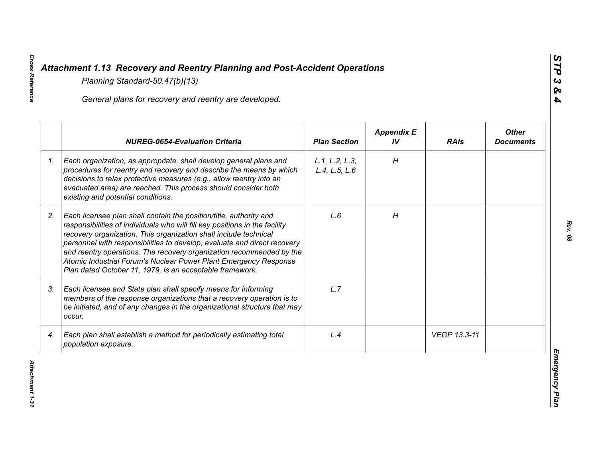|    | General plans for recovery and reentry are developed.                                                                                                                                                                                                                                                                                                                                                                                                                                                     |                                 |                         |              |                                  |
|----|-----------------------------------------------------------------------------------------------------------------------------------------------------------------------------------------------------------------------------------------------------------------------------------------------------------------------------------------------------------------------------------------------------------------------------------------------------------------------------------------------------------|---------------------------------|-------------------------|--------------|----------------------------------|
|    | <b>NUREG-0654-Evaluation Criteria</b>                                                                                                                                                                                                                                                                                                                                                                                                                                                                     | <b>Plan Section</b>             | <b>Appendix E</b><br>IV | <b>RAIs</b>  | <b>Other</b><br><b>Documents</b> |
| 1. | Each organization, as appropriate, shall develop general plans and<br>procedures for reentry and recovery and describe the means by which<br>decisions to relax protective measures (e.g., allow reentry into an<br>evacuated area) are reached. This process should consider both<br>existing and potential conditions.                                                                                                                                                                                  | L.1, L.2, L.3,<br>L.4, L.5, L.6 | H                       |              |                                  |
| 2. | Each licensee plan shall contain the position/title, authority and<br>responsibilities of individuals who will fill key positions in the facility<br>recovery organization. This organization shall include technical<br>personnel with responsibilities to develop, evaluate and direct recovery<br>and reentry operations. The recovery organization recommended by the<br>Atomic Industrial Forum's Nuclear Power Plant Emergency Response<br>Plan dated October 11, 1979, is an acceptable framework. | L.6                             | H                       |              |                                  |
| 3. | Each licensee and State plan shall specify means for informing<br>members of the response organizations that a recovery operation is to<br>be initiated, and of any changes in the organizational structure that may<br>occur.                                                                                                                                                                                                                                                                            | L.7                             |                         |              |                                  |
| 4. | Each plan shall establish a method for periodically estimating total<br>population exposure.                                                                                                                                                                                                                                                                                                                                                                                                              | L.4                             |                         | VEGP 13.3-11 |                                  |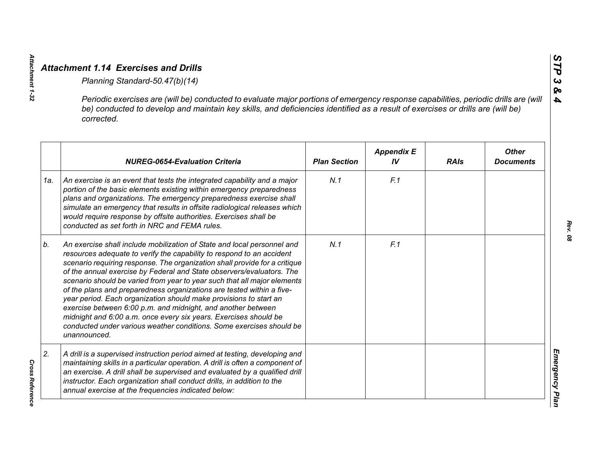|     | Periodic exercises are (will be) conducted to evaluate major portions of emergency response capabilities, periodic drills are (will<br>be) conducted to develop and maintain key skills, and deficiencies identified as a result of exercises or drills are (will be)<br>corrected.                                                                                                                                                                                                                                                                                                                                                                                                                                                                           |                     |                         |             |                                  |
|-----|---------------------------------------------------------------------------------------------------------------------------------------------------------------------------------------------------------------------------------------------------------------------------------------------------------------------------------------------------------------------------------------------------------------------------------------------------------------------------------------------------------------------------------------------------------------------------------------------------------------------------------------------------------------------------------------------------------------------------------------------------------------|---------------------|-------------------------|-------------|----------------------------------|
|     | <b>NUREG-0654-Evaluation Criteria</b>                                                                                                                                                                                                                                                                                                                                                                                                                                                                                                                                                                                                                                                                                                                         | <b>Plan Section</b> | <b>Appendix E</b><br>IV | <b>RAIs</b> | <b>Other</b><br><b>Documents</b> |
| 1a. | An exercise is an event that tests the integrated capability and a major<br>portion of the basic elements existing within emergency preparedness<br>plans and organizations. The emergency preparedness exercise shall<br>simulate an emergency that results in offsite radiological releases which<br>would require response by offsite authorities. Exercises shall be<br>conducted as set forth in NRC and FEMA rules.                                                                                                                                                                                                                                                                                                                                     | N.1                 | F.1                     |             |                                  |
| b.  | An exercise shall include mobilization of State and local personnel and<br>resources adequate to verify the capability to respond to an accident<br>scenario requiring response. The organization shall provide for a critique<br>of the annual exercise by Federal and State observers/evaluators. The<br>scenario should be varied from year to year such that all major elements<br>of the plans and preparedness organizations are tested within a five-<br>year period. Each organization should make provisions to start an<br>exercise between 6:00 p.m. and midnight, and another between<br>midnight and 6:00 a.m. once every six years. Exercises should be<br>conducted under various weather conditions. Some exercises should be<br>unannounced. | N.1                 | F.1                     |             |                                  |
| 2.  | A drill is a supervised instruction period aimed at testing, developing and<br>maintaining skills in a particular operation. A drill is often a component of<br>an exercise. A drill shall be supervised and evaluated by a qualified drill<br>instructor. Each organization shall conduct drills, in addition to the<br>annual exercise at the frequencies indicated below:                                                                                                                                                                                                                                                                                                                                                                                  |                     |                         |             |                                  |

**Cross Reference** *Cross Reference* 

*Attachment 1-32*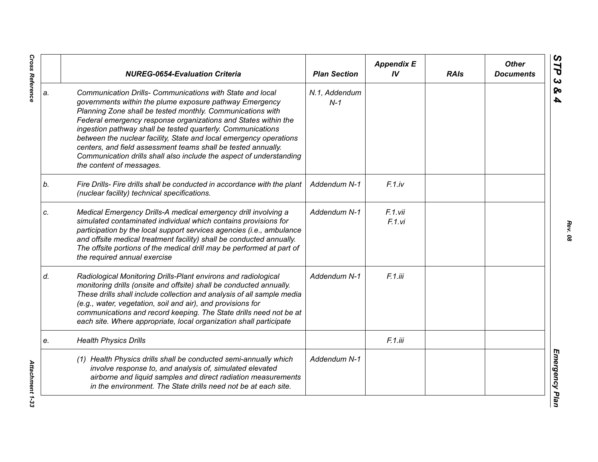|    | <b>NUREG-0654-Evaluation Criteria</b>                                                                                                                                                                                                                                                                                                                                                                                                                                                                                                                         | <b>Plan Section</b>    | <b>Appendix E</b><br>IV | <b>RAIs</b> | <b>Other</b><br><b>Documents</b> |
|----|---------------------------------------------------------------------------------------------------------------------------------------------------------------------------------------------------------------------------------------------------------------------------------------------------------------------------------------------------------------------------------------------------------------------------------------------------------------------------------------------------------------------------------------------------------------|------------------------|-------------------------|-------------|----------------------------------|
| a. | Communication Drills- Communications with State and local<br>governments within the plume exposure pathway Emergency<br>Planning Zone shall be tested monthly. Communications with<br>Federal emergency response organizations and States within the<br>ingestion pathway shall be tested quarterly. Communications<br>between the nuclear facility, State and local emergency operations<br>centers, and field assessment teams shall be tested annually.<br>Communication drills shall also include the aspect of understanding<br>the content of messages. | N.1, Addendum<br>$N-1$ |                         |             |                                  |
| b. | Fire Drills- Fire drills shall be conducted in accordance with the plant<br>(nuclear facility) technical specifications.                                                                                                                                                                                                                                                                                                                                                                                                                                      | Addendum N-1           | $F.1$ .iv               |             |                                  |
| C. | Medical Emergency Drills-A medical emergency drill involving a<br>simulated contaminated individual which contains provisions for<br>participation by the local support services agencies (i.e., ambulance<br>and offsite medical treatment facility) shall be conducted annually.<br>The offsite portions of the medical drill may be performed at part of<br>the required annual exercise                                                                                                                                                                   | Addendum N-1           | F.1.vii<br>F.1.vi       |             |                                  |
| d. | Radiological Monitoring Drills-Plant environs and radiological<br>monitoring drills (onsite and offsite) shall be conducted annually.<br>These drills shall include collection and analysis of all sample media<br>(e.g., water, vegetation, soil and air), and provisions for<br>communications and record keeping. The State drills need not be at<br>each site. Where appropriate, local organization shall participate                                                                                                                                    | Addendum N-1           | F.1.iii                 |             |                                  |
| e. | <b>Health Physics Drills</b>                                                                                                                                                                                                                                                                                                                                                                                                                                                                                                                                  |                        | F.1.iii                 |             |                                  |
|    | (1) Health Physics drills shall be conducted semi-annually which<br>involve response to, and analysis of, simulated elevated<br>airborne and liquid samples and direct radiation measurements<br>in the environment. The State drills need not be at each site.                                                                                                                                                                                                                                                                                               | Addendum N-1           |                         |             |                                  |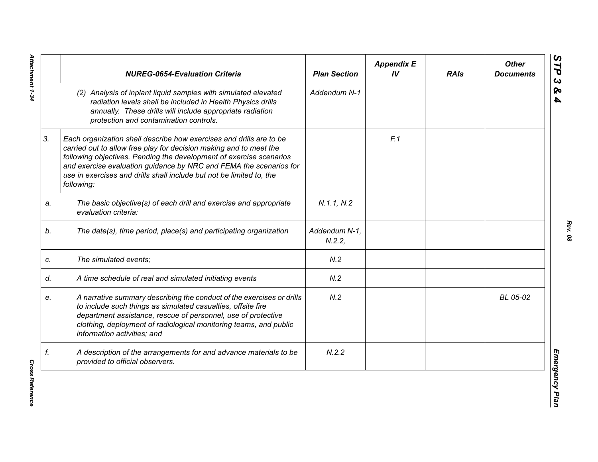|    | <b>NUREG-0654-Evaluation Criteria</b>                                                                                                                                                                                                                                                                                                                                        | <b>Plan Section</b>    | <b>Appendix E</b><br>IV | <b>RAIs</b> | <b>Other</b><br><b>Documents</b> |
|----|------------------------------------------------------------------------------------------------------------------------------------------------------------------------------------------------------------------------------------------------------------------------------------------------------------------------------------------------------------------------------|------------------------|-------------------------|-------------|----------------------------------|
|    | (2) Analysis of inplant liquid samples with simulated elevated<br>radiation levels shall be included in Health Physics drills<br>annually. These drills will include appropriate radiation<br>protection and contamination controls.                                                                                                                                         | Addendum N-1           |                         |             |                                  |
| 3. | Each organization shall describe how exercises and drills are to be<br>carried out to allow free play for decision making and to meet the<br>following objectives. Pending the development of exercise scenarios<br>and exercise evaluation guidance by NRC and FEMA the scenarios for<br>use in exercises and drills shall include but not be limited to, the<br>following: |                        | F.1                     |             |                                  |
| a. | The basic objective(s) of each drill and exercise and appropriate<br>evaluation criteria:                                                                                                                                                                                                                                                                                    | N.1.1, N.2             |                         |             |                                  |
| b. | The date(s), time period, place(s) and participating organization                                                                                                                                                                                                                                                                                                            | Addendum N-1,<br>N.2.2 |                         |             |                                  |
| c. | The simulated events;                                                                                                                                                                                                                                                                                                                                                        | N.2                    |                         |             |                                  |
| d. | A time schedule of real and simulated initiating events                                                                                                                                                                                                                                                                                                                      | N.2                    |                         |             |                                  |
| е. | A narrative summary describing the conduct of the exercises or drills<br>to include such things as simulated casualties, offsite fire<br>department assistance, rescue of personnel, use of protective<br>clothing, deployment of radiological monitoring teams, and public<br>information activities; and                                                                   | N.2                    |                         |             | BL 05-02                         |
| f. | A description of the arrangements for and advance materials to be<br>provided to official observers.                                                                                                                                                                                                                                                                         | N.2.2                  |                         |             |                                  |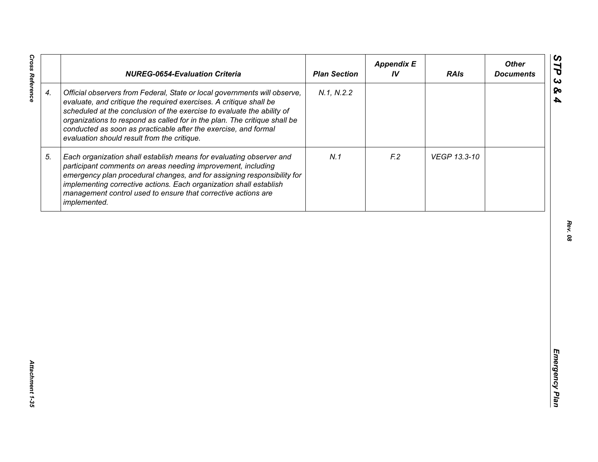|                    | <b>NUREG-0654-Evaluation Criteria</b>                                                                                                                                                                                                                                                                                                                                                                                    | <b>Plan Section</b> | <b>Appendix E</b><br>IV | <b>RAIs</b>  | <b>Other</b><br><b>Documents</b> |
|--------------------|--------------------------------------------------------------------------------------------------------------------------------------------------------------------------------------------------------------------------------------------------------------------------------------------------------------------------------------------------------------------------------------------------------------------------|---------------------|-------------------------|--------------|----------------------------------|
| $\boldsymbol{4}$ . | Official observers from Federal, State or local governments will observe,<br>evaluate, and critique the required exercises. A critique shall be<br>scheduled at the conclusion of the exercise to evaluate the ability of<br>organizations to respond as called for in the plan. The critique shall be<br>conducted as soon as practicable after the exercise, and formal<br>evaluation should result from the critique. | N.1, N.2.2          |                         |              |                                  |
| 5.                 | Each organization shall establish means for evaluating observer and<br>participant comments on areas needing improvement, including<br>emergency plan procedural changes, and for assigning responsibility for<br>implementing corrective actions. Each organization shall establish<br>management control used to ensure that corrective actions are<br>implemented.                                                    | N.1                 | F <sub>2</sub>          | VEGP 13.3-10 |                                  |
|                    |                                                                                                                                                                                                                                                                                                                                                                                                                          |                     |                         |              |                                  |
|                    |                                                                                                                                                                                                                                                                                                                                                                                                                          |                     |                         |              |                                  |
|                    |                                                                                                                                                                                                                                                                                                                                                                                                                          |                     |                         |              |                                  |
|                    |                                                                                                                                                                                                                                                                                                                                                                                                                          |                     |                         |              |                                  |
|                    |                                                                                                                                                                                                                                                                                                                                                                                                                          |                     |                         |              |                                  |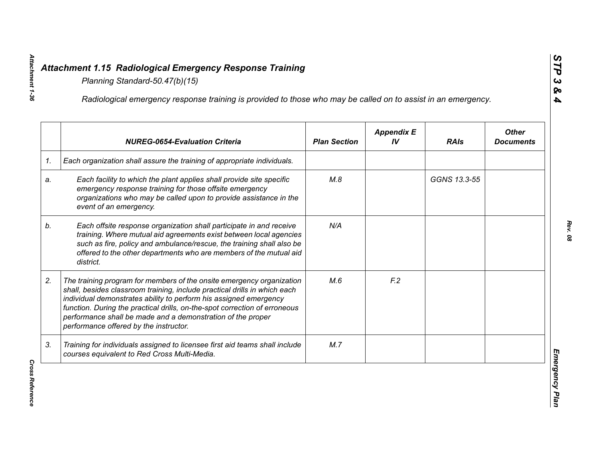|    | Radiological emergency response training is provided to those who may be called on to assist in an emergency.                                                                                                                                                                                                                                                                                                  |                     |                         |              |                                  |
|----|----------------------------------------------------------------------------------------------------------------------------------------------------------------------------------------------------------------------------------------------------------------------------------------------------------------------------------------------------------------------------------------------------------------|---------------------|-------------------------|--------------|----------------------------------|
|    | <b>NUREG-0654-Evaluation Criteria</b>                                                                                                                                                                                                                                                                                                                                                                          | <b>Plan Section</b> | <b>Appendix E</b><br>IV | <b>RAIs</b>  | <b>Other</b><br><b>Documents</b> |
| 1. | Each organization shall assure the training of appropriate individuals.                                                                                                                                                                                                                                                                                                                                        |                     |                         |              |                                  |
| a. | Each facility to which the plant applies shall provide site specific<br>emergency response training for those offsite emergency<br>organizations who may be called upon to provide assistance in the<br>event of an emergency.                                                                                                                                                                                 | M.8                 |                         | GGNS 13.3-55 |                                  |
| b. | Each offsite response organization shall participate in and receive<br>training. Where mutual aid agreements exist between local agencies<br>such as fire, policy and ambulance/rescue, the training shall also be<br>offered to the other departments who are members of the mutual aid<br>district.                                                                                                          | N/A                 |                         |              |                                  |
| 2. | The training program for members of the onsite emergency organization<br>shall, besides classroom training, include practical drills in which each<br>individual demonstrates ability to perform his assigned emergency<br>function. During the practical drills, on-the-spot correction of erroneous<br>performance shall be made and a demonstration of the proper<br>performance offered by the instructor. | M.6                 | F <sub>12</sub>         |              |                                  |
| 3. | Training for individuals assigned to licensee first aid teams shall include<br>courses equivalent to Red Cross Multi-Media.                                                                                                                                                                                                                                                                                    | M.7                 |                         |              |                                  |

*Cross Reference* 

**Cross Reference**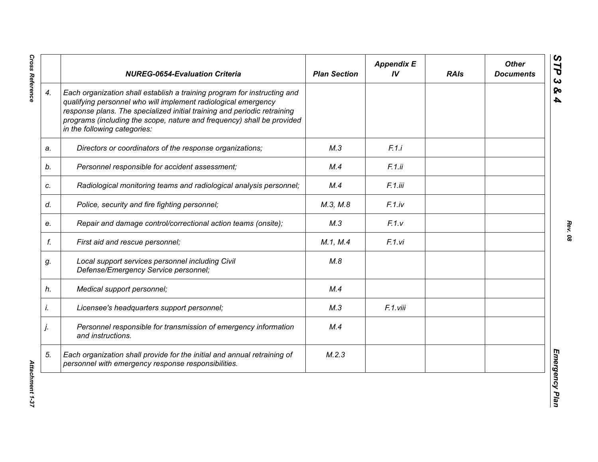|    | <b>NUREG-0654-Evaluation Criteria</b>                                                                                                                                                                                                                                                                                            | <b>Plan Section</b> | <b>Appendix E</b><br>IV | <b>RAIs</b> | <b>Other</b><br><b>Documents</b> |
|----|----------------------------------------------------------------------------------------------------------------------------------------------------------------------------------------------------------------------------------------------------------------------------------------------------------------------------------|---------------------|-------------------------|-------------|----------------------------------|
| 4. | Each organization shall establish a training program for instructing and<br>qualifying personnel who will implement radiological emergency<br>response plans. The specialized initial training and periodic retraining<br>programs (including the scope, nature and frequency) shall be provided<br>in the following categories: |                     |                         |             |                                  |
| a. | Directors or coordinators of the response organizations;                                                                                                                                                                                                                                                                         | M.3                 | F.1.i                   |             |                                  |
| b. | Personnel responsible for accident assessment;                                                                                                                                                                                                                                                                                   | M.4                 | F.1.ii                  |             |                                  |
| c. | Radiological monitoring teams and radiological analysis personnel;                                                                                                                                                                                                                                                               | M.4                 | F.1.iii                 |             |                                  |
| d. | Police, security and fire fighting personnel;                                                                                                                                                                                                                                                                                    | M.3, M.8            | F.1(iv                  |             |                                  |
| е. | Repair and damage control/correctional action teams (onsite);                                                                                                                                                                                                                                                                    | M.3                 | F.1.v                   |             |                                  |
| f. | First aid and rescue personnel;                                                                                                                                                                                                                                                                                                  | M.1, M.4            | F.1.vi                  |             |                                  |
| g. | Local support services personnel including Civil<br>Defense/Emergency Service personnel;                                                                                                                                                                                                                                         | M.8                 |                         |             |                                  |
| h. | Medical support personnel;                                                                                                                                                                                                                                                                                                       | M.4                 |                         |             |                                  |
| İ. | Licensee's headquarters support personnel;                                                                                                                                                                                                                                                                                       | M.3                 | F.1.viii                |             |                                  |
| j. | Personnel responsible for transmission of emergency information<br>and instructions.                                                                                                                                                                                                                                             | M.4                 |                         |             |                                  |
| 5. | Each organization shall provide for the initial and annual retraining of<br>personnel with emergency response responsibilities.                                                                                                                                                                                                  | M.2.3               |                         |             |                                  |

**Cross Reference**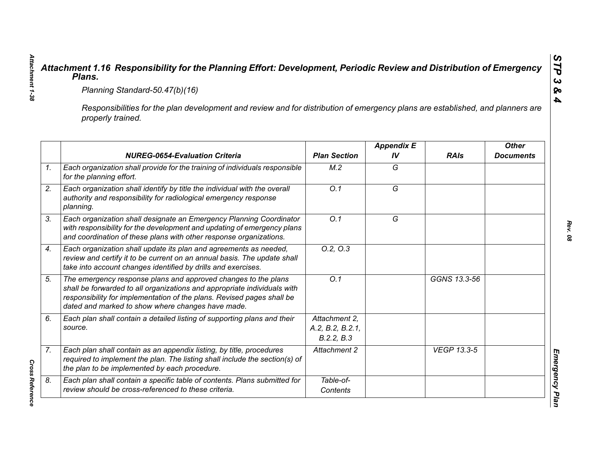|                                                                                                                                                     | Planning Standard-50.47(b)(16)                                                                                                                                                                                                                                            |                                                 |                         |                    |                                  |  |
|-----------------------------------------------------------------------------------------------------------------------------------------------------|---------------------------------------------------------------------------------------------------------------------------------------------------------------------------------------------------------------------------------------------------------------------------|-------------------------------------------------|-------------------------|--------------------|----------------------------------|--|
| Responsibilities for the plan development and review and for distribution of emergency plans are established, and planners are<br>properly trained. |                                                                                                                                                                                                                                                                           |                                                 |                         |                    |                                  |  |
|                                                                                                                                                     | <b>NUREG-0654-Evaluation Criteria</b>                                                                                                                                                                                                                                     | <b>Plan Section</b>                             | <b>Appendix E</b><br>IV | <b>RAIs</b>        | <b>Other</b><br><b>Documents</b> |  |
|                                                                                                                                                     | Each organization shall provide for the training of individuals responsible<br>for the planning effort.                                                                                                                                                                   | M.2                                             | G                       |                    |                                  |  |
|                                                                                                                                                     | Each organization shall identify by title the individual with the overall<br>authority and responsibility for radiological emergency response<br>planning.                                                                                                                | $\overline{O.1}$                                | $\overline{G}$          |                    |                                  |  |
|                                                                                                                                                     | Each organization shall designate an Emergency Planning Coordinator<br>with responsibility for the development and updating of emergency plans<br>and coordination of these plans with other response organizations.                                                      | O.1                                             | G                       |                    |                                  |  |
|                                                                                                                                                     | Each organization shall update its plan and agreements as needed,<br>review and certify it to be current on an annual basis. The update shall<br>take into account changes identified by drills and exercises.                                                            | 0.2, 0.3                                        |                         |                    |                                  |  |
|                                                                                                                                                     | The emergency response plans and approved changes to the plans<br>shall be forwarded to all organizations and appropriate individuals with<br>responsibility for implementation of the plans. Revised pages shall be<br>dated and marked to show where changes have made. | Q.1                                             |                         | GGNS 13.3-56       |                                  |  |
| source.                                                                                                                                             | Each plan shall contain a detailed listing of supporting plans and their                                                                                                                                                                                                  | Attachment 2.<br>A.2, B.2, B.2.1,<br>B.2.2, B.3 |                         |                    |                                  |  |
|                                                                                                                                                     | Each plan shall contain as an appendix listing, by title, procedures<br>required to implement the plan. The listing shall include the section(s) of<br>the plan to be implemented by each procedure.                                                                      | Attachment 2                                    |                         | <b>VEGP 13.3-5</b> |                                  |  |
|                                                                                                                                                     | Each plan shall contain a specific table of contents. Plans submitted for<br>review should be cross-referenced to these criteria.                                                                                                                                         | Table-of-<br>Contents                           |                         |                    |                                  |  |